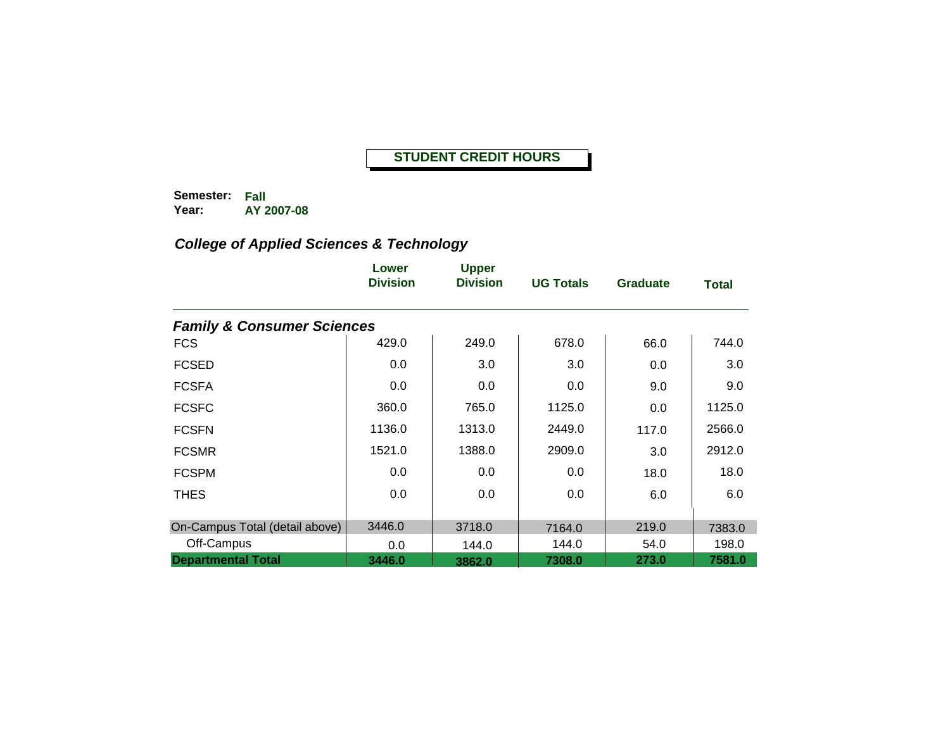**Semester: Fall Year: AY 2007-08**

|                                       | Lower<br><b>Division</b> | <b>Upper</b><br><b>Division</b> | <b>UG Totals</b> | <b>Graduate</b> | <b>Total</b> |
|---------------------------------------|--------------------------|---------------------------------|------------------|-----------------|--------------|
| <b>Family &amp; Consumer Sciences</b> |                          |                                 |                  |                 |              |
| <b>FCS</b>                            | 429.0                    | 249.0                           | 678.0            | 66.0            | 744.0        |
| <b>FCSED</b>                          | 0.0                      | 3.0                             | 3.0              | 0.0             | 3.0          |
| <b>FCSFA</b>                          | 0.0                      | 0.0                             | 0.0              | 9.0             | 9.0          |
| <b>FCSFC</b>                          | 360.0                    | 765.0                           | 1125.0           | 0.0             | 1125.0       |
| <b>FCSFN</b>                          | 1136.0                   | 1313.0                          | 2449.0           | 117.0           | 2566.0       |
| <b>FCSMR</b>                          | 1521.0                   | 1388.0                          | 2909.0           | 3.0             | 2912.0       |
| <b>FCSPM</b>                          | 0.0                      | 0.0                             | 0.0              | 18.0            | 18.0         |
| <b>THES</b>                           | 0.0                      | 0.0                             | 0.0              | 6.0             | 6.0          |
| On-Campus Total (detail above)        | 3446.0                   | 3718.0                          | 7164.0           | 219.0           | 7383.0       |
| Off-Campus                            | 0.0                      | 144.0                           | 144.0            | 54.0            | 198.0        |
| <b>Departmental Total</b>             | 3446.0                   | 3862.0                          | 7308.0           | 273.0           | 7581.0       |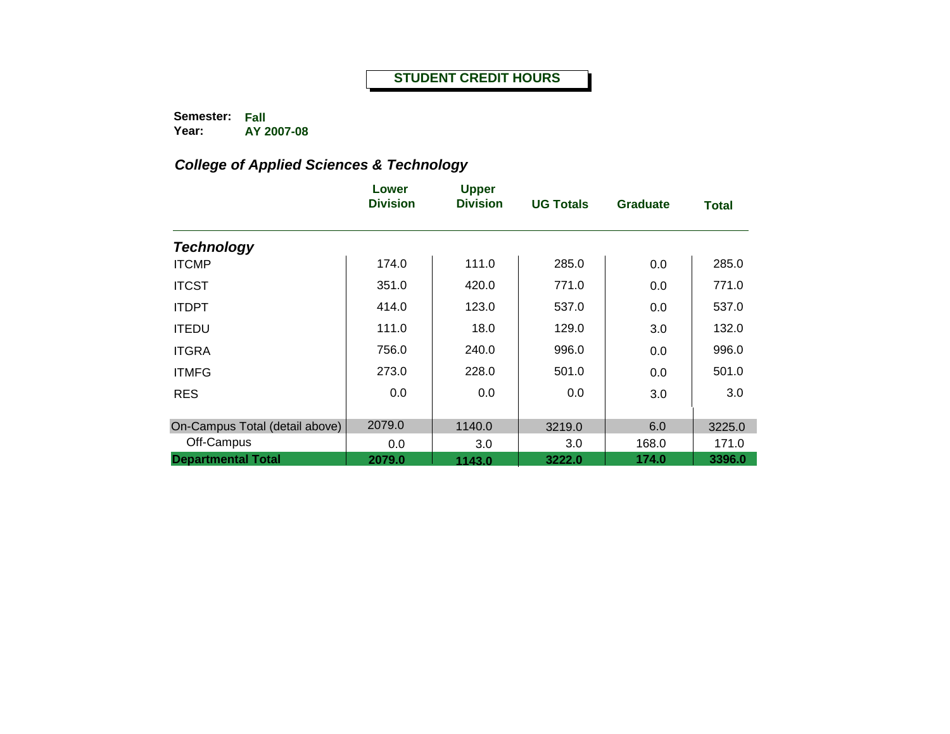**Semester: Fall Year: AY 2007-08**

|                                | Lower<br><b>Division</b> | <b>Upper</b><br><b>Division</b> | <b>UG Totals</b> | <b>Graduate</b> | <b>Total</b> |
|--------------------------------|--------------------------|---------------------------------|------------------|-----------------|--------------|
| <b>Technology</b>              |                          |                                 |                  |                 |              |
| <b>ITCMP</b>                   | 174.0                    | 111.0                           | 285.0            | 0.0             | 285.0        |
| <b>ITCST</b>                   | 351.0                    | 420.0                           | 771.0            | 0.0             | 771.0        |
| <b>ITDPT</b>                   | 414.0                    | 123.0                           | 537.0            | 0.0             | 537.0        |
| <b>ITEDU</b>                   | 111.0                    | 18.0                            | 129.0            | 3.0             | 132.0        |
| <b>ITGRA</b>                   | 756.0                    | 240.0                           | 996.0            | 0.0             | 996.0        |
| <b>ITMFG</b>                   | 273.0                    | 228.0                           | 501.0            | 0.0             | 501.0        |
| <b>RES</b>                     | 0.0                      | 0.0                             | 0.0              | 3.0             | 3.0          |
| On-Campus Total (detail above) | 2079.0                   | 1140.0                          | 3219.0           | 6.0             | 3225.0       |
| Off-Campus                     | 0.0                      | 3.0                             | 3.0              | 168.0           | 171.0        |
| <b>Departmental Total</b>      | 2079.0                   | 1143.0                          | 3222.0           | 174.0           | 3396.0       |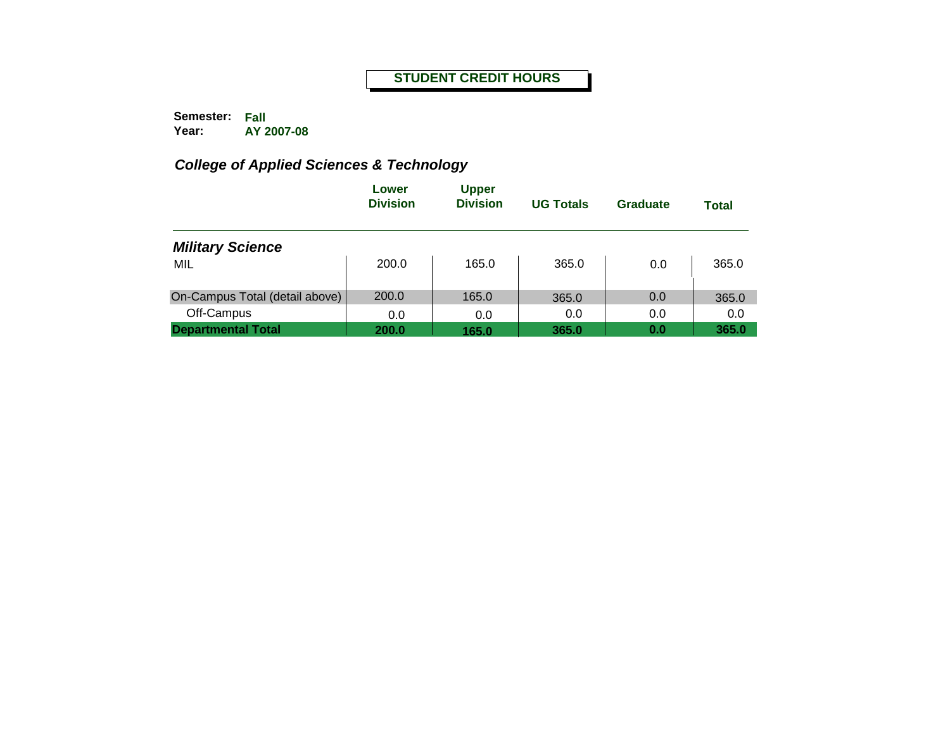**Semester: Fall Year: AY 2007-08**

|                                | Lower<br><b>Division</b> | <b>Upper</b><br><b>Division</b> | <b>UG Totals</b> | <b>Graduate</b> | <b>Total</b> |
|--------------------------------|--------------------------|---------------------------------|------------------|-----------------|--------------|
| <b>Military Science</b>        |                          |                                 |                  |                 |              |
| MIL                            | 200.0                    | 165.0                           | 365.0            | 0.0             | 365.0        |
| On-Campus Total (detail above) | 200.0                    | 165.0                           | 365.0            | 0.0             | 365.0        |
| Off-Campus                     | 0.0                      | 0.0                             | 0.0              | 0.0             | 0.0          |
| <b>Departmental Total</b>      | 200.0                    | 165.0                           | 365.0            | 0.0             | 365.0        |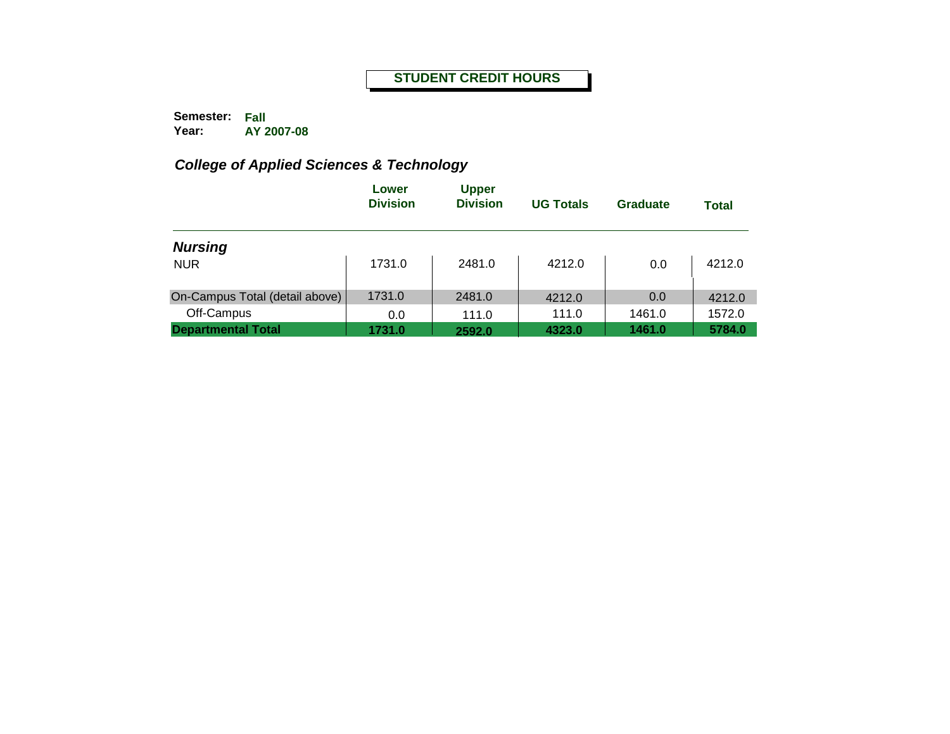**Semester: Fall Year: AY 2007-08**

|                                         | Lower<br><b>Division</b> | <b>Upper</b><br><b>Division</b> | <b>UG Totals</b> | <b>Graduate</b>  | <b>Total</b>     |
|-----------------------------------------|--------------------------|---------------------------------|------------------|------------------|------------------|
| <b>Nursing</b><br><b>NUR</b>            | 1731.0                   | 2481.0                          | 4212.0           | 0.0              | 4212.0           |
| On-Campus Total (detail above)          | 1731.0                   | 2481.0                          | 4212.0           | 0.0              | 4212.0           |
| Off-Campus<br><b>Departmental Total</b> | 0.0<br>1731.0            | 111.0<br>2592.0                 | 111.0<br>4323.0  | 1461.0<br>1461.0 | 1572.0<br>5784.0 |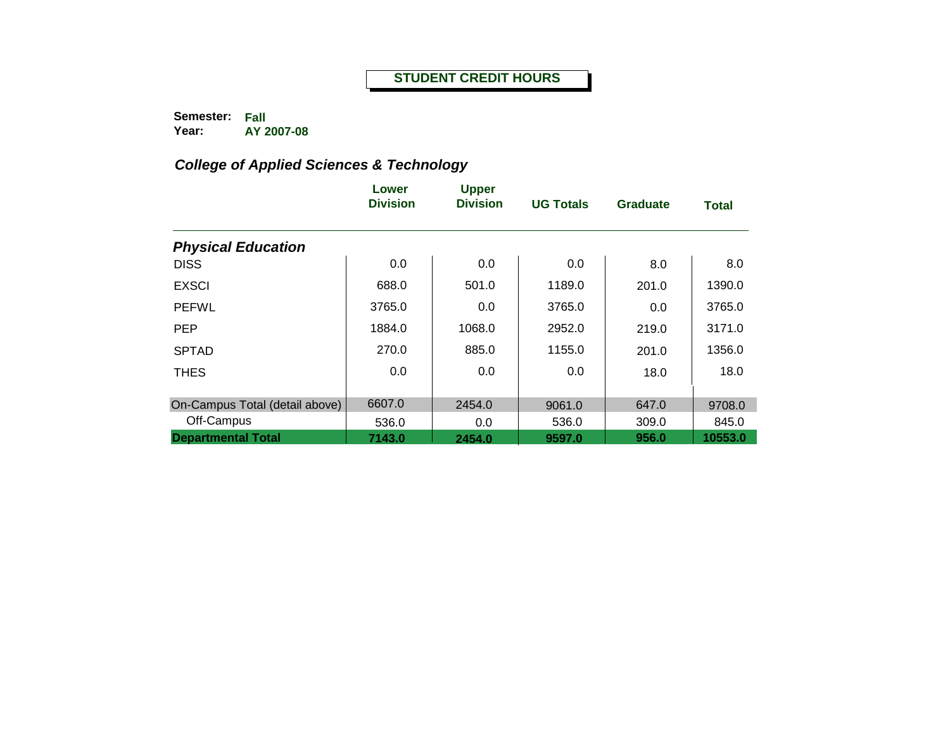**Semester: Fall Year: AY 2007-08**

|                                | Lower<br><b>Division</b> | <b>Upper</b><br><b>Division</b> | <b>UG Totals</b> | <b>Graduate</b> | <b>Total</b> |
|--------------------------------|--------------------------|---------------------------------|------------------|-----------------|--------------|
| <b>Physical Education</b>      |                          |                                 |                  |                 |              |
| <b>DISS</b>                    | 0.0                      | 0.0                             | 0.0              | 8.0             | 8.0          |
| <b>EXSCI</b>                   | 688.0                    | 501.0                           | 1189.0           | 201.0           | 1390.0       |
| <b>PEFWL</b>                   | 3765.0                   | 0.0                             | 3765.0           | 0.0             | 3765.0       |
| <b>PEP</b>                     | 1884.0                   | 1068.0                          | 2952.0           | 219.0           | 3171.0       |
| <b>SPTAD</b>                   | 270.0                    | 885.0                           | 1155.0           | 201.0           | 1356.0       |
| <b>THES</b>                    | 0.0                      | 0.0                             | 0.0              | 18.0            | 18.0         |
| On-Campus Total (detail above) | 6607.0                   | 2454.0                          | 9061.0           | 647.0           | 9708.0       |
| Off-Campus                     | 536.0                    | 0.0                             | 536.0            | 309.0           | 845.0        |
| <b>Departmental Total</b>      | 7143.0                   | 2454.0                          | 9597.0           | 956.0           | 10553.0      |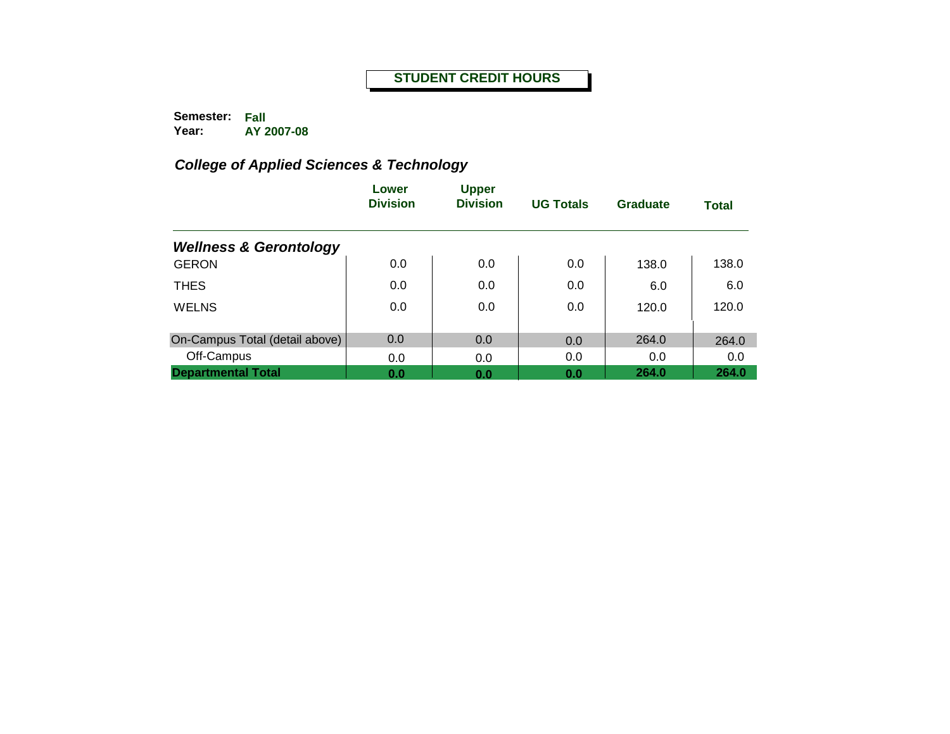**Semester: Fall Year: AY 2007-08**

|                                   | Lower<br><b>Division</b> | <b>Upper</b><br><b>Division</b> | <b>UG Totals</b> | <b>Graduate</b> | <b>Total</b> |
|-----------------------------------|--------------------------|---------------------------------|------------------|-----------------|--------------|
| <b>Wellness &amp; Gerontology</b> |                          |                                 |                  |                 |              |
| <b>GERON</b>                      | 0.0                      | 0.0                             | 0.0              | 138.0           | 138.0        |
| <b>THES</b>                       | 0.0                      | 0.0                             | 0.0              | 6.0             | 6.0          |
| <b>WELNS</b>                      | 0.0                      | 0.0                             | 0.0              | 120.0           | 120.0        |
| On-Campus Total (detail above)    | 0.0                      | 0.0                             | 0.0              | 264.0           | 264.0        |
| Off-Campus                        | 0.0                      | 0.0                             | 0.0              | 0.0             | 0.0          |
| <b>Departmental Total</b>         | 0.0                      | 0.0                             | 0.0              | 264.0           | 264.0        |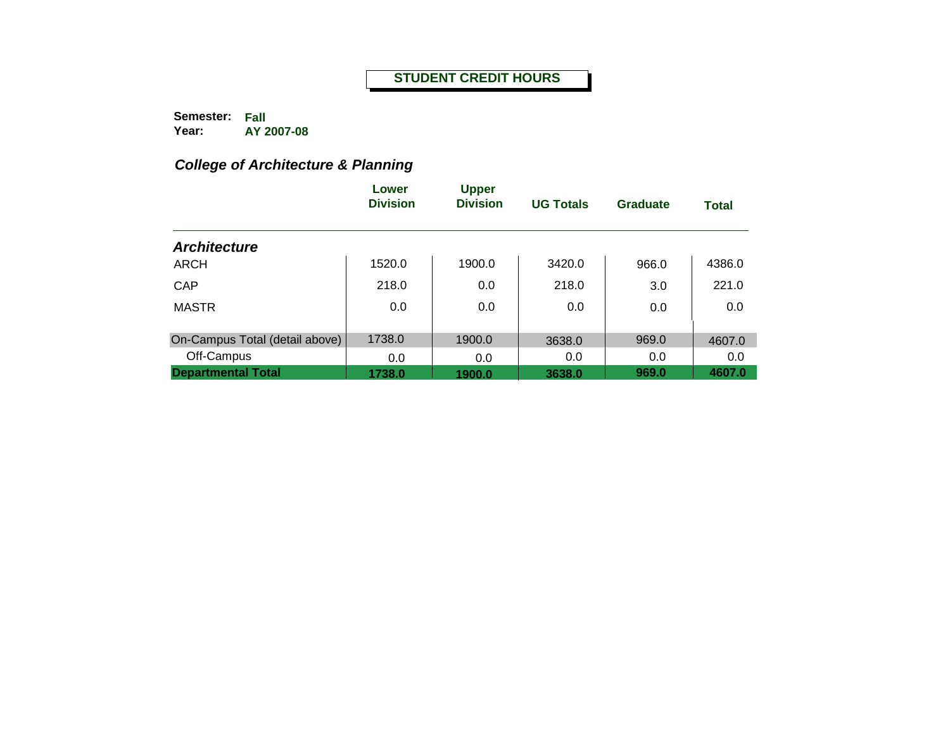**Semester: Fall Year: AY 2007-08**

# *College of Architecture & Planning*

|                                | Lower<br><b>Division</b> | <b>Upper</b><br><b>Division</b> | <b>UG Totals</b> | Graduate | <b>Total</b> |
|--------------------------------|--------------------------|---------------------------------|------------------|----------|--------------|
| <b>Architecture</b>            |                          |                                 |                  |          |              |
| ARCH                           | 1520.0                   | 1900.0                          | 3420.0           | 966.0    | 4386.0       |
| CAP                            | 218.0                    | 0.0                             | 218.0            | 3.0      | 221.0        |
| <b>MASTR</b>                   | 0.0                      | 0.0                             | 0.0              | 0.0      | 0.0          |
|                                |                          |                                 |                  |          |              |
| On-Campus Total (detail above) | 1738.0                   | 1900.0                          | 3638.0           | 969.0    | 4607.0       |
| Off-Campus                     | 0.0                      | 0.0                             | 0.0              | 0.0      | 0.0          |
| <b>Departmental Total</b>      | 1738.0                   | 1900.0                          | 3638.0           | 969.0    | 4607.0       |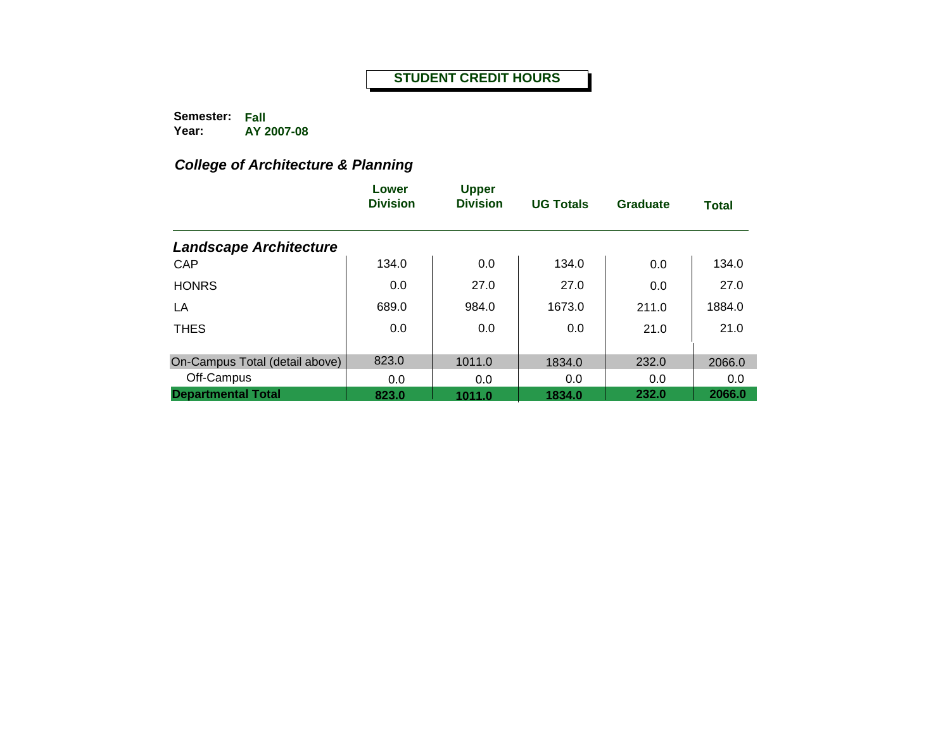**Semester: Fall Year: AY 2007-08**

# *College of Architecture & Planning*

|                                | Lower<br><b>Division</b> | <b>Upper</b><br><b>Division</b> | <b>UG Totals</b> | Graduate | <b>Total</b> |
|--------------------------------|--------------------------|---------------------------------|------------------|----------|--------------|
| <b>Landscape Architecture</b>  |                          |                                 |                  |          |              |
| CAP                            | 134.0                    | 0.0                             | 134.0            | 0.0      | 134.0        |
| <b>HONRS</b>                   | 0.0                      | 27.0                            | 27.0             | 0.0      | 27.0         |
| LA                             | 689.0                    | 984.0                           | 1673.0           | 211.0    | 1884.0       |
| <b>THES</b>                    | 0.0                      | 0.0                             | 0.0              | 21.0     | 21.0         |
| On-Campus Total (detail above) | 823.0                    | 1011.0                          | 1834.0           | 232.0    | 2066.0       |
| Off-Campus                     | 0.0                      | 0.0                             | 0.0              | 0.0      | 0.0          |
| <b>Departmental Total</b>      | 823.0                    | 1011.0                          | 1834.0           | 232.0    | 2066.0       |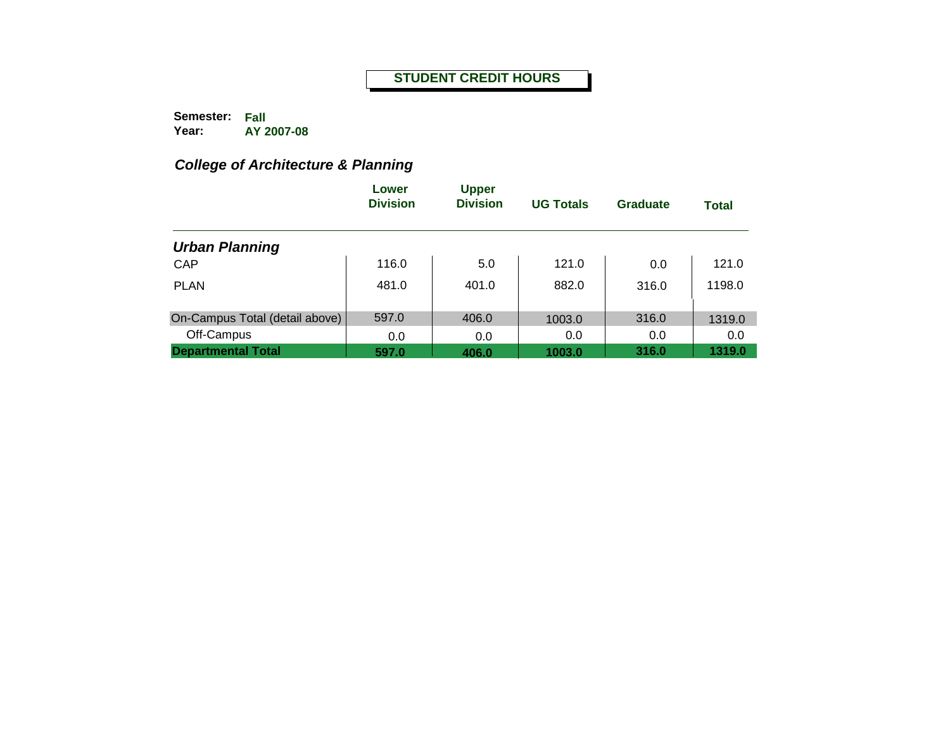**Semester: Fall Year: AY 2007-08**

# *College of Architecture & Planning*

|                                | Lower<br><b>Division</b> | <b>Upper</b><br><b>Division</b> | <b>UG Totals</b> | Graduate | <b>Total</b> |
|--------------------------------|--------------------------|---------------------------------|------------------|----------|--------------|
| <b>Urban Planning</b>          |                          |                                 |                  |          |              |
| <b>CAP</b>                     | 116.0                    | 5.0                             | 121.0            | 0.0      | 121.0        |
| <b>PLAN</b>                    | 481.0                    | 401.0                           | 882.0            | 316.0    | 1198.0       |
| On-Campus Total (detail above) | 597.0                    | 406.0                           | 1003.0           | 316.0    | 1319.0       |
| Off-Campus                     | 0.0                      | 0.0                             | 0.0              | 0.0      | 0.0          |
| <b>Departmental Total</b>      | 597.0                    | 406.0                           | 1003.0           | 316.0    | 1319.0       |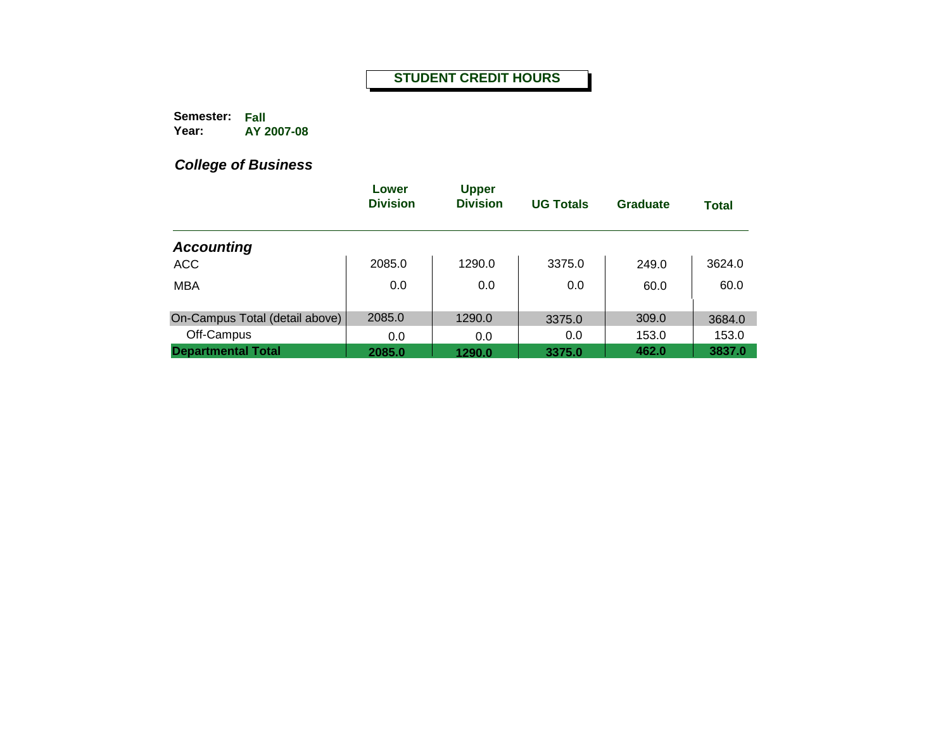**Semester: Fall Year: AY 2007-08**

|                                | Lower<br><b>Division</b> | <b>Upper</b><br><b>Division</b> | <b>UG Totals</b> | Graduate | <b>Total</b> |
|--------------------------------|--------------------------|---------------------------------|------------------|----------|--------------|
| <b>Accounting</b>              |                          |                                 |                  |          |              |
| <b>ACC</b>                     | 2085.0                   | 1290.0                          | 3375.0           | 249.0    | 3624.0       |
| <b>MBA</b>                     | 0.0                      | 0.0                             | 0.0              | 60.0     | 60.0         |
| On-Campus Total (detail above) | 2085.0                   | 1290.0                          | 3375.0           | 309.0    | 3684.0       |
| Off-Campus                     | 0.0                      | 0.0                             | 0.0              | 153.0    | 153.0        |
| <b>Departmental Total</b>      | 2085.0                   | 1290.0                          | 3375.0           | 462.0    | 3837.0       |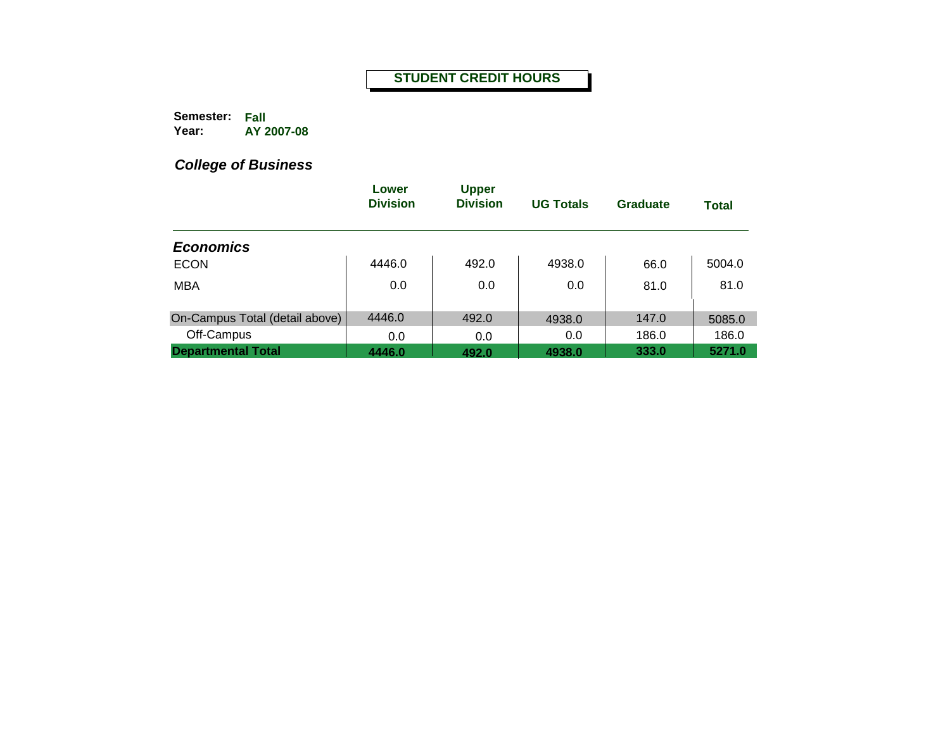**Semester: Fall Year: AY 2007-08**

|                                | Lower<br><b>Division</b> | <b>Upper</b><br><b>Division</b> | <b>UG Totals</b> | Graduate | <b>Total</b> |
|--------------------------------|--------------------------|---------------------------------|------------------|----------|--------------|
| <b>Economics</b>               |                          |                                 |                  |          |              |
| <b>ECON</b>                    | 4446.0                   | 492.0                           | 4938.0           | 66.0     | 5004.0       |
| <b>MBA</b>                     | 0.0                      | 0.0                             | 0.0              | 81.0     | 81.0         |
| On-Campus Total (detail above) | 4446.0                   | 492.0                           | 4938.0           | 147.0    | 5085.0       |
| Off-Campus                     | 0.0                      | 0.0                             | 0.0              | 186.0    | 186.0        |
| <b>Departmental Total</b>      | 4446.0                   | 492.0                           | 4938.0           | 333.0    | 5271.0       |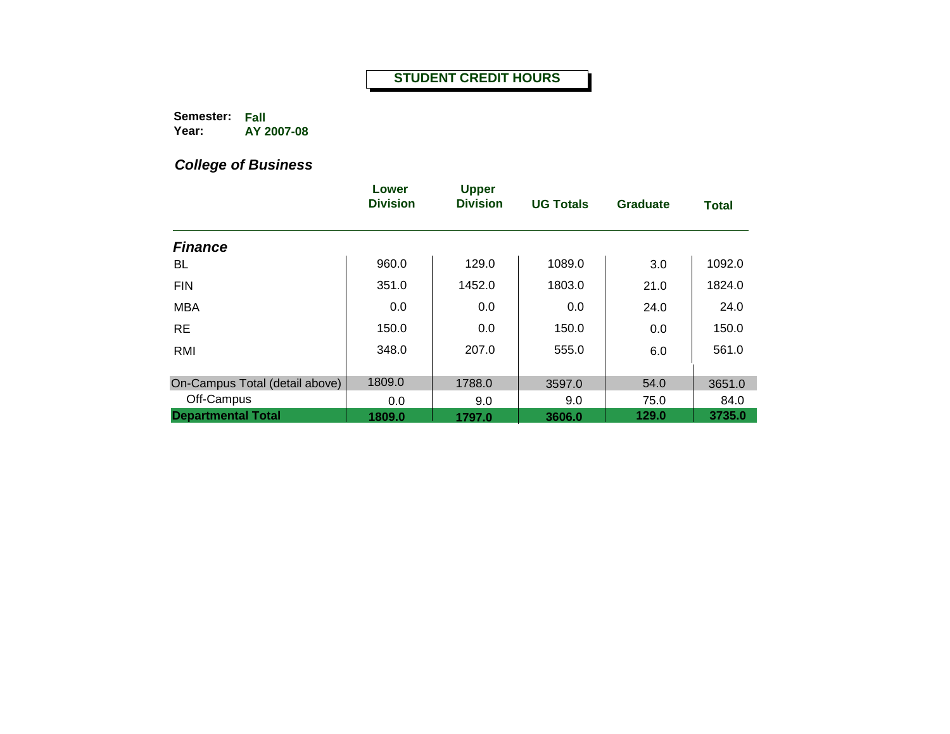**Semester: Fall Year: AY 2007-08**

|                                | Lower<br><b>Division</b> | <b>Upper</b><br><b>Division</b> | <b>UG Totals</b> | <b>Graduate</b> | <b>Total</b> |
|--------------------------------|--------------------------|---------------------------------|------------------|-----------------|--------------|
|                                |                          |                                 |                  |                 |              |
| <b>Finance</b>                 |                          |                                 |                  |                 |              |
| BL                             | 960.0                    | 129.0                           | 1089.0           | 3.0             | 1092.0       |
| <b>FIN</b>                     | 351.0                    | 1452.0                          | 1803.0           | 21.0            | 1824.0       |
| <b>MBA</b>                     | 0.0                      | 0.0                             | 0.0              | 24.0            | 24.0         |
| <b>RE</b>                      | 150.0                    | 0.0                             | 150.0            | 0.0             | 150.0        |
| RMI                            | 348.0                    | 207.0                           | 555.0            | 6.0             | 561.0        |
|                                |                          |                                 |                  |                 |              |
| On-Campus Total (detail above) | 1809.0                   | 1788.0                          | 3597.0           | 54.0            | 3651.0       |
| Off-Campus                     | 0.0                      | 9.0                             | 9.0              | 75.0            | 84.0         |
| <b>Departmental Total</b>      | 1809.0                   | 1797.0                          | 3606.0           | 129.0           | 3735.0       |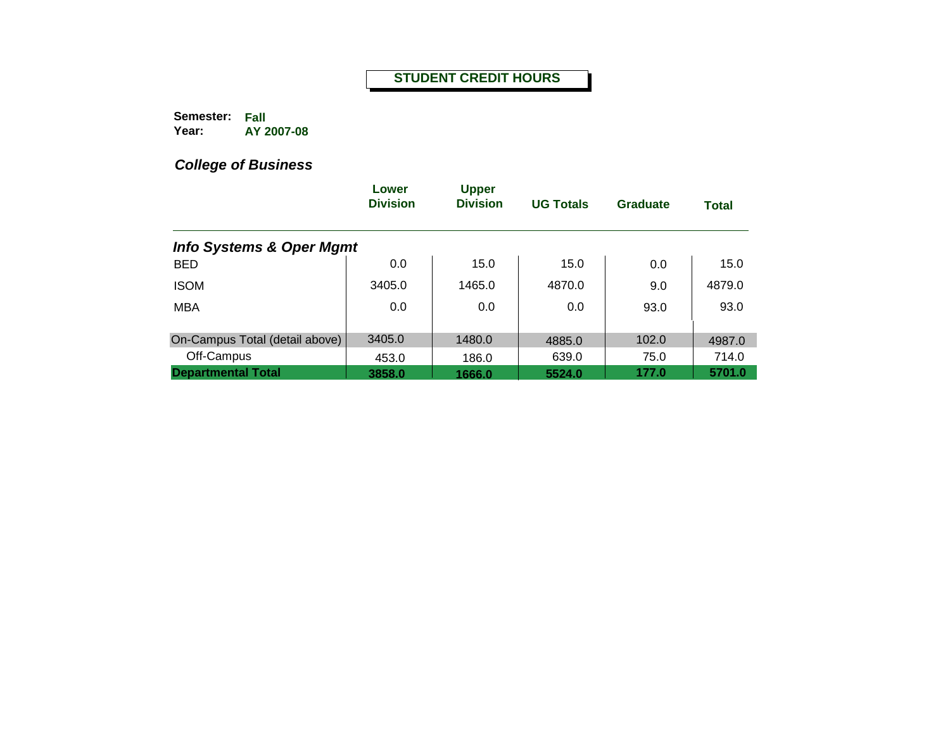**Semester: Fall Year: AY 2007-08**

|                                     | Lower<br><b>Division</b> | <b>Upper</b><br><b>Division</b> | <b>UG Totals</b> | <b>Graduate</b> | <b>Total</b> |
|-------------------------------------|--------------------------|---------------------------------|------------------|-----------------|--------------|
| <b>Info Systems &amp; Oper Mgmt</b> |                          |                                 |                  |                 |              |
| <b>BED</b>                          | 0.0                      | 15.0                            | 15.0             | 0.0             | 15.0         |
| <b>ISOM</b>                         | 3405.0                   | 1465.0                          | 4870.0           | 9.0             | 4879.0       |
| <b>MBA</b>                          | 0.0                      | 0.0                             | 0.0              | 93.0            | 93.0         |
|                                     |                          |                                 |                  |                 |              |
| On-Campus Total (detail above)      | 3405.0                   | 1480.0                          | 4885.0           | 102.0           | 4987.0       |
| Off-Campus                          | 453.0                    | 186.0                           | 639.0            | 75.0            | 714.0        |
| <b>Departmental Total</b>           | 3858.0                   | 1666.0                          | 5524.0           | 177.0           | 5701.0       |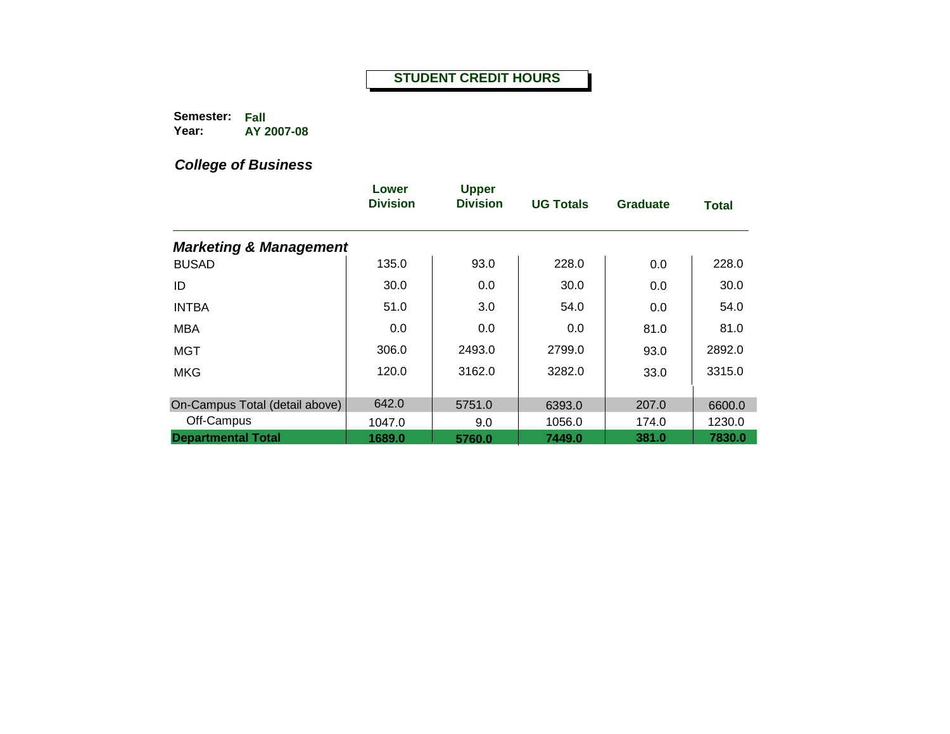**Semester: Fall Year: AY 2007-08**

|                                   | Lower<br><b>Division</b> | <b>Upper</b><br><b>Division</b> | <b>UG Totals</b> | <b>Graduate</b> | <b>Total</b> |
|-----------------------------------|--------------------------|---------------------------------|------------------|-----------------|--------------|
| <b>Marketing &amp; Management</b> |                          |                                 |                  |                 |              |
| <b>BUSAD</b>                      | 135.0                    | 93.0                            | 228.0            | 0.0             | 228.0        |
| ID                                | 30.0                     | 0.0                             | 30.0             | 0.0             | 30.0         |
| <b>INTBA</b>                      | 51.0                     | 3.0                             | 54.0             | 0.0             | 54.0         |
| <b>MBA</b>                        | 0.0                      | 0.0                             | 0.0              | 81.0            | 81.0         |
| <b>MGT</b>                        | 306.0                    | 2493.0                          | 2799.0           | 93.0            | 2892.0       |
| <b>MKG</b>                        | 120.0                    | 3162.0                          | 3282.0           | 33.0            | 3315.0       |
| On-Campus Total (detail above)    | 642.0                    | 5751.0                          | 6393.0           | 207.0           | 6600.0       |
| Off-Campus                        | 1047.0                   | 9.0                             | 1056.0           | 174.0           | 1230.0       |
| <b>Departmental Total</b>         | 1689.0                   | 5760.0                          | 7449.0           | 381.0           | 7830.0       |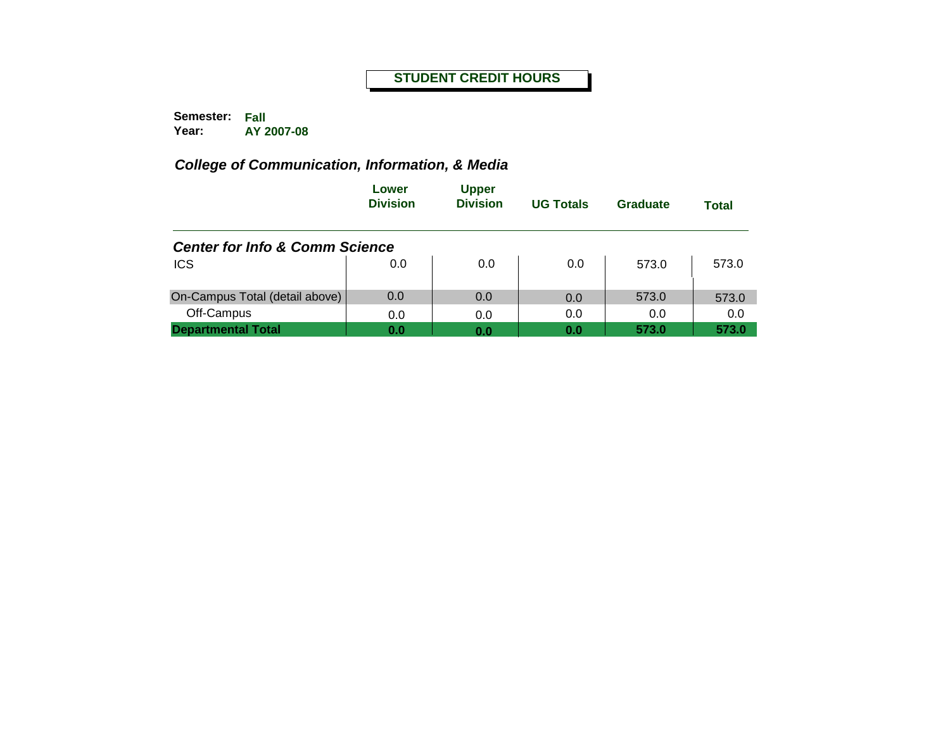**Semester: Fall Year: AY 2007-08**

|                                           | Lower<br><b>Division</b> | <b>Upper</b><br><b>Division</b> | <b>UG Totals</b> | Graduate | <b>Total</b> |
|-------------------------------------------|--------------------------|---------------------------------|------------------|----------|--------------|
| <b>Center for Info &amp; Comm Science</b> |                          |                                 |                  |          |              |
| <b>ICS</b>                                | 0.0                      | 0.0                             | 0.0              | 573.0    | 573.0        |
| On-Campus Total (detail above)            | 0.0                      | 0.0                             | 0.0              | 573.0    | 573.0        |
| Off-Campus                                | 0.0                      | 0.0                             | 0.0              | 0.0      | 0.0          |
| <b>Departmental Total</b>                 | 0.0                      | 0.0                             | 0.0              | 573.0    | 573.0        |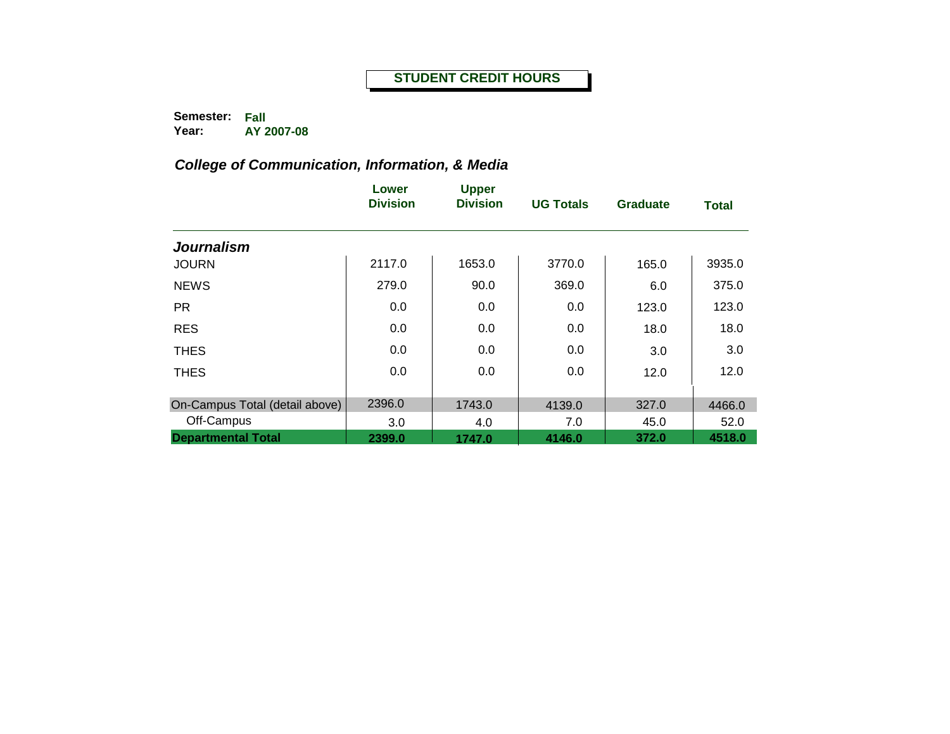**Semester: Fall Year: AY 2007-08**

|                                | Lower<br><b>Division</b> | <b>Upper</b><br><b>Division</b> | <b>UG Totals</b> | <b>Graduate</b> | <b>Total</b> |
|--------------------------------|--------------------------|---------------------------------|------------------|-----------------|--------------|
| <b>Journalism</b>              |                          |                                 |                  |                 |              |
| <b>JOURN</b>                   | 2117.0                   | 1653.0                          | 3770.0           | 165.0           | 3935.0       |
| <b>NEWS</b>                    | 279.0                    | 90.0                            | 369.0            | 6.0             | 375.0        |
| <b>PR</b>                      | 0.0                      | 0.0                             | 0.0              | 123.0           | 123.0        |
| <b>RES</b>                     | 0.0                      | 0.0                             | 0.0              | 18.0            | 18.0         |
| <b>THES</b>                    | 0.0                      | 0.0                             | 0.0              | 3.0             | 3.0          |
| <b>THES</b>                    | 0.0                      | 0.0                             | 0.0              | 12.0            | 12.0         |
| On-Campus Total (detail above) | 2396.0                   | 1743.0                          | 4139.0           | 327.0           | 4466.0       |
| Off-Campus                     | 3.0                      | 4.0                             | 7.0              | 45.0            | 52.0         |
| <b>Departmental Total</b>      | 2399.0                   | 1747.0                          | 4146.0           | 372.0           | 4518.0       |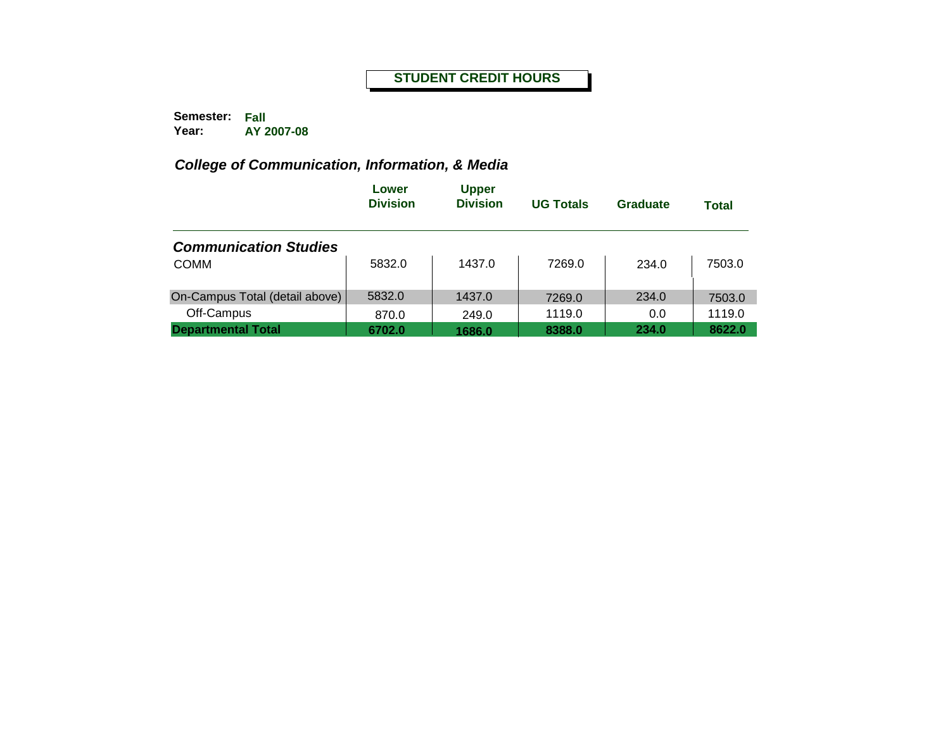**Semester: Fall Year: AY 2007-08**

|                                | Lower<br><b>Division</b> | <b>Upper</b><br><b>Division</b> | <b>UG Totals</b> | Graduate | <b>Total</b> |
|--------------------------------|--------------------------|---------------------------------|------------------|----------|--------------|
| <b>Communication Studies</b>   |                          |                                 |                  |          |              |
| <b>COMM</b>                    | 5832.0                   | 1437.0                          | 7269.0           | 234.0    | 7503.0       |
| On-Campus Total (detail above) | 5832.0                   | 1437.0                          | 7269.0           | 234.0    | 7503.0       |
| Off-Campus                     | 870.0                    | 249.0                           | 1119.0           | 0.0      | 1119.0       |
| <b>Departmental Total</b>      | 6702.0                   | 1686.0                          | 8388.0           | 234.0    | 8622.0       |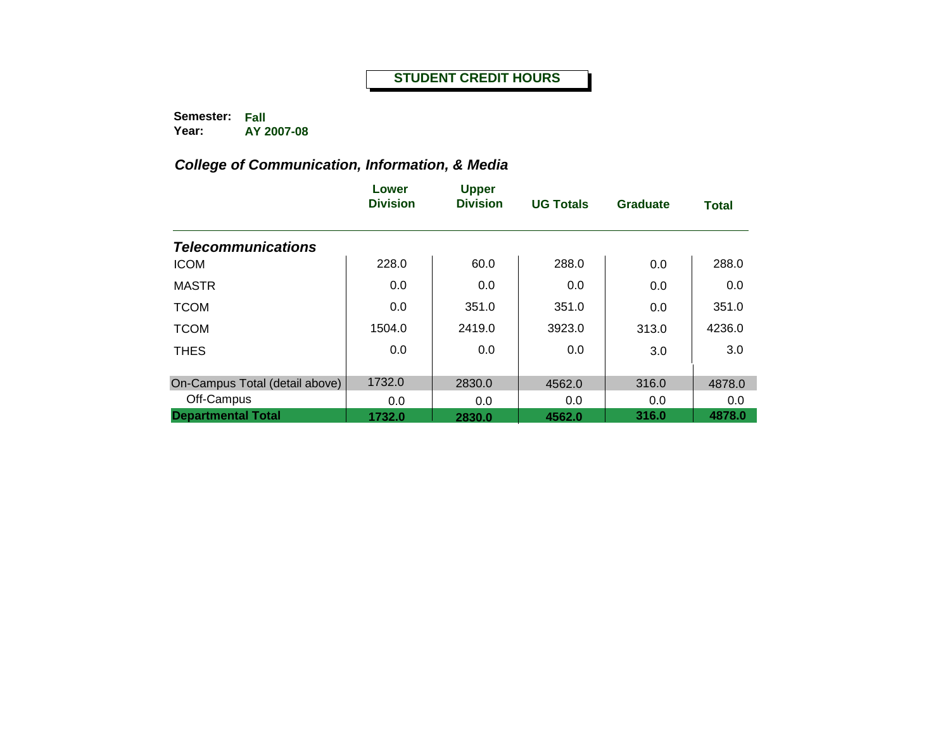**Semester: Fall Year: AY 2007-08**

|                                | Lower<br><b>Division</b> | <b>Upper</b><br><b>Division</b> | <b>UG Totals</b> | <b>Graduate</b> | <b>Total</b> |
|--------------------------------|--------------------------|---------------------------------|------------------|-----------------|--------------|
| <b>Telecommunications</b>      |                          |                                 |                  |                 |              |
| <b>ICOM</b>                    | 228.0                    | 60.0                            | 288.0            | 0.0             | 288.0        |
| <b>MASTR</b>                   | 0.0                      | 0.0                             | 0.0              | 0.0             | 0.0          |
| <b>TCOM</b>                    | 0.0                      | 351.0                           | 351.0            | 0.0             | 351.0        |
| <b>TCOM</b>                    | 1504.0                   | 2419.0                          | 3923.0           | 313.0           | 4236.0       |
| <b>THES</b>                    | 0.0                      | 0.0                             | 0.0              | 3.0             | 3.0          |
| On-Campus Total (detail above) | 1732.0                   | 2830.0                          | 4562.0           | 316.0           | 4878.0       |
| Off-Campus                     | 0.0                      | 0.0                             | 0.0              | 0.0             | 0.0          |
| <b>Departmental Total</b>      | 1732.0                   | 2830.0                          | 4562.0           | 316.0           | 4878.0       |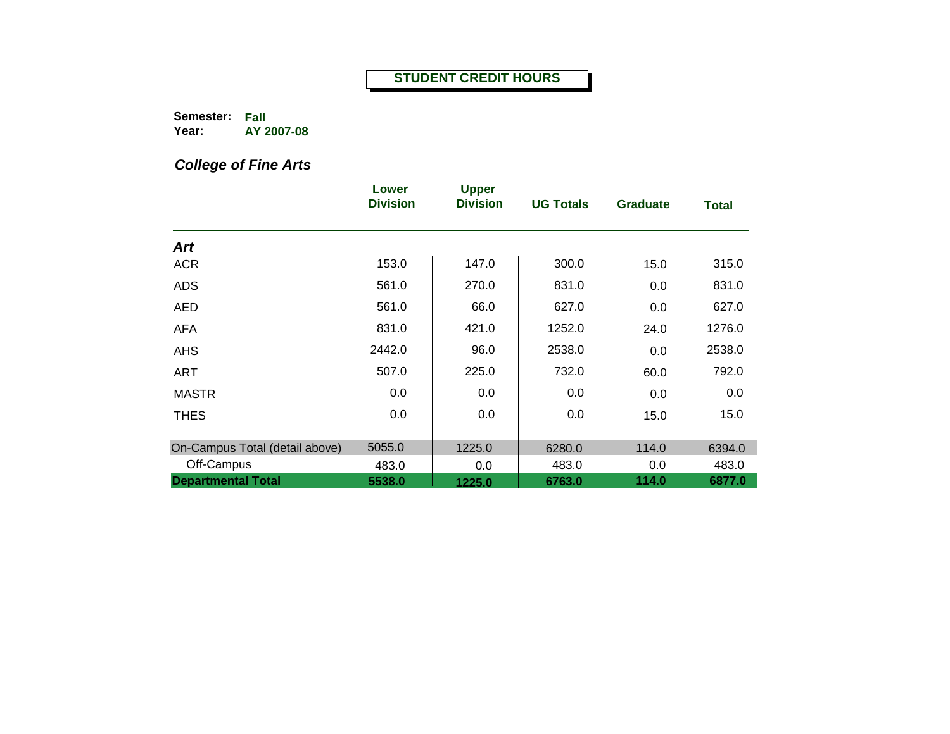**Semester: Fall Year: AY 2007-08**

*College of Fine Arts*

|                                | Lower<br><b>Division</b> | <b>Upper</b><br><b>Division</b> | <b>UG Totals</b> | <b>Graduate</b> | <b>Total</b> |
|--------------------------------|--------------------------|---------------------------------|------------------|-----------------|--------------|
| <b>Art</b>                     |                          |                                 |                  |                 |              |
| <b>ACR</b>                     | 153.0                    | 147.0                           | 300.0            | 15.0            | 315.0        |
| <b>ADS</b>                     | 561.0                    | 270.0                           | 831.0            | 0.0             | 831.0        |
| <b>AED</b>                     | 561.0                    | 66.0                            | 627.0            | 0.0             | 627.0        |
| <b>AFA</b>                     | 831.0                    | 421.0                           | 1252.0           | 24.0            | 1276.0       |
| <b>AHS</b>                     | 2442.0                   | 96.0                            | 2538.0           | 0.0             | 2538.0       |
| ART                            | 507.0                    | 225.0                           | 732.0            | 60.0            | 792.0        |
| <b>MASTR</b>                   | 0.0                      | 0.0                             | 0.0              | 0.0             | 0.0          |
| <b>THES</b>                    | 0.0                      | 0.0                             | 0.0              | 15.0            | 15.0         |
| On-Campus Total (detail above) | 5055.0                   | 1225.0                          | 6280.0           | 114.0           | 6394.0       |
| Off-Campus                     | 483.0                    | 0.0                             | 483.0            | 0.0             | 483.0        |
| <b>Departmental Total</b>      | 5538.0                   | 1225.0                          | 6763.0           | 114.0           | 6877.0       |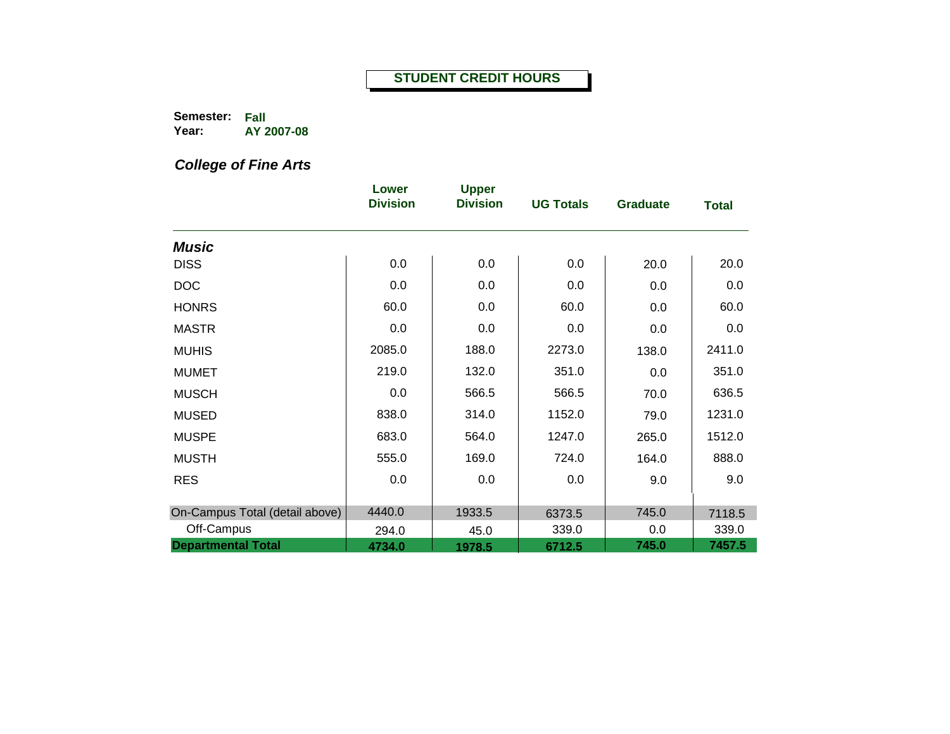**Semester: Fall Year: AY 2007-08**

*College of Fine Arts*

|                                | Lower<br><b>Division</b> | <b>Upper</b><br><b>Division</b> | <b>UG Totals</b> | <b>Graduate</b> | <b>Total</b> |
|--------------------------------|--------------------------|---------------------------------|------------------|-----------------|--------------|
| <b>Music</b>                   |                          |                                 |                  |                 |              |
| <b>DISS</b>                    | 0.0                      | 0.0                             | 0.0              | 20.0            | 20.0         |
| <b>DOC</b>                     | 0.0                      | 0.0                             | 0.0              | 0.0             | 0.0          |
| <b>HONRS</b>                   | 60.0                     | 0.0                             | 60.0             | 0.0             | 60.0         |
| <b>MASTR</b>                   | 0.0                      | 0.0                             | 0.0              | 0.0             | 0.0          |
| <b>MUHIS</b>                   | 2085.0                   | 188.0                           | 2273.0           | 138.0           | 2411.0       |
| <b>MUMET</b>                   | 219.0                    | 132.0                           | 351.0            | 0.0             | 351.0        |
| <b>MUSCH</b>                   | 0.0                      | 566.5                           | 566.5            | 70.0            | 636.5        |
| <b>MUSED</b>                   | 838.0                    | 314.0                           | 1152.0           | 79.0            | 1231.0       |
| <b>MUSPE</b>                   | 683.0                    | 564.0                           | 1247.0           | 265.0           | 1512.0       |
| <b>MUSTH</b>                   | 555.0                    | 169.0                           | 724.0            | 164.0           | 888.0        |
| <b>RES</b>                     | 0.0                      | 0.0                             | 0.0              | 9.0             | 9.0          |
|                                |                          |                                 |                  |                 |              |
| On-Campus Total (detail above) | 4440.0                   | 1933.5                          | 6373.5           | 745.0           | 7118.5       |
| Off-Campus                     | 294.0                    | 45.0                            | 339.0            | 0.0             | 339.0        |
| <b>Departmental Total</b>      | 4734.0                   | 1978.5                          | 6712.5           | 745.0           | 7457.5       |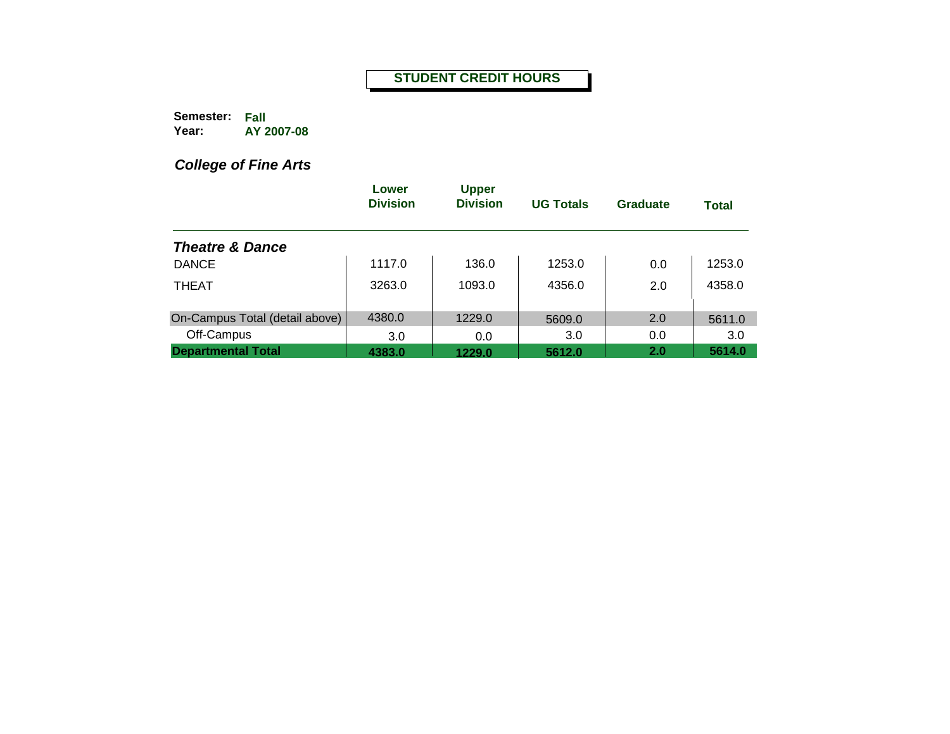**Semester: Fall Year: AY 2007-08**

*College of Fine Arts*

|                                | Lower<br><b>Division</b> | <b>Upper</b><br><b>Division</b> | <b>UG Totals</b> | Graduate | <b>Total</b> |
|--------------------------------|--------------------------|---------------------------------|------------------|----------|--------------|
| <b>Theatre &amp; Dance</b>     |                          |                                 |                  |          |              |
| <b>DANCE</b>                   | 1117.0                   | 136.0                           | 1253.0           | 0.0      | 1253.0       |
| <b>THEAT</b>                   | 3263.0                   | 1093.0                          | 4356.0           | 2.0      | 4358.0       |
| On-Campus Total (detail above) | 4380.0                   | 1229.0                          | 5609.0           | 2.0      | 5611.0       |
| Off-Campus                     | 3.0                      | 0.0                             | 3.0              | 0.0      | 3.0          |
| <b>Departmental Total</b>      | 4383.0                   | 1229.0                          | 5612.0           | 2.0      | 5614.0       |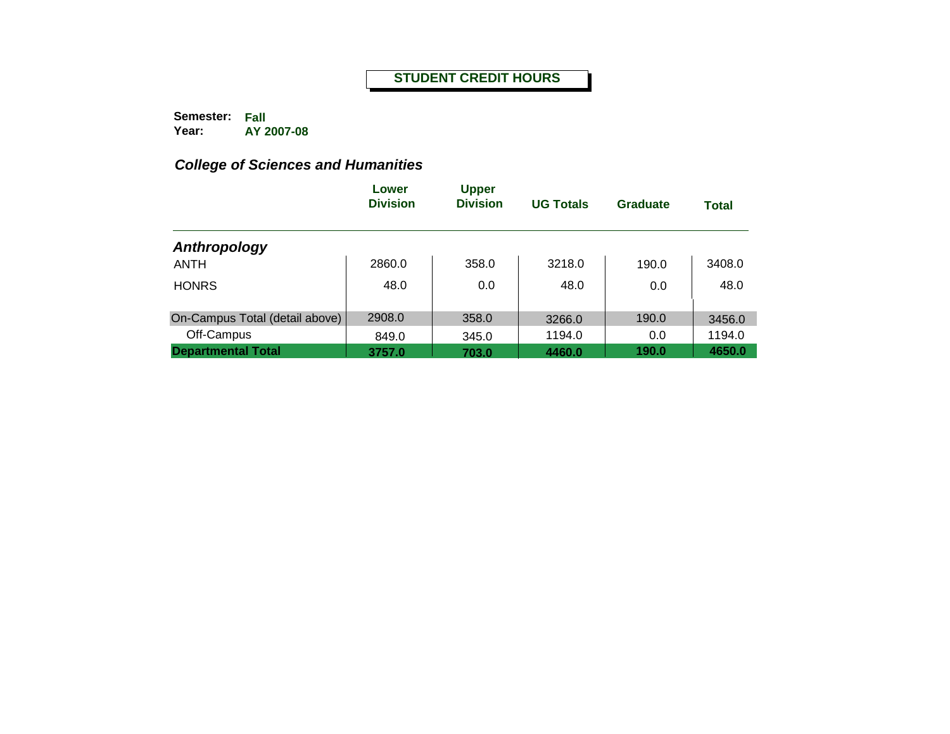**Semester: Fall Year: AY 2007-08**

|                                | Lower<br><b>Division</b> | <b>Upper</b><br><b>Division</b> | <b>UG Totals</b> | Graduate | <b>Total</b> |
|--------------------------------|--------------------------|---------------------------------|------------------|----------|--------------|
| Anthropology                   |                          |                                 |                  |          |              |
| <b>ANTH</b>                    | 2860.0                   | 358.0                           | 3218.0           | 190.0    | 3408.0       |
| <b>HONRS</b>                   | 48.0                     | 0.0                             | 48.0             | 0.0      | 48.0         |
| On-Campus Total (detail above) | 2908.0                   | 358.0                           | 3266.0           | 190.0    | 3456.0       |
| Off-Campus                     | 849.0                    | 345.0                           | 1194.0           | 0.0      | 1194.0       |
| <b>Departmental Total</b>      | 3757.0                   | 703.0                           | 4460.0           | 190.0    | 4650.0       |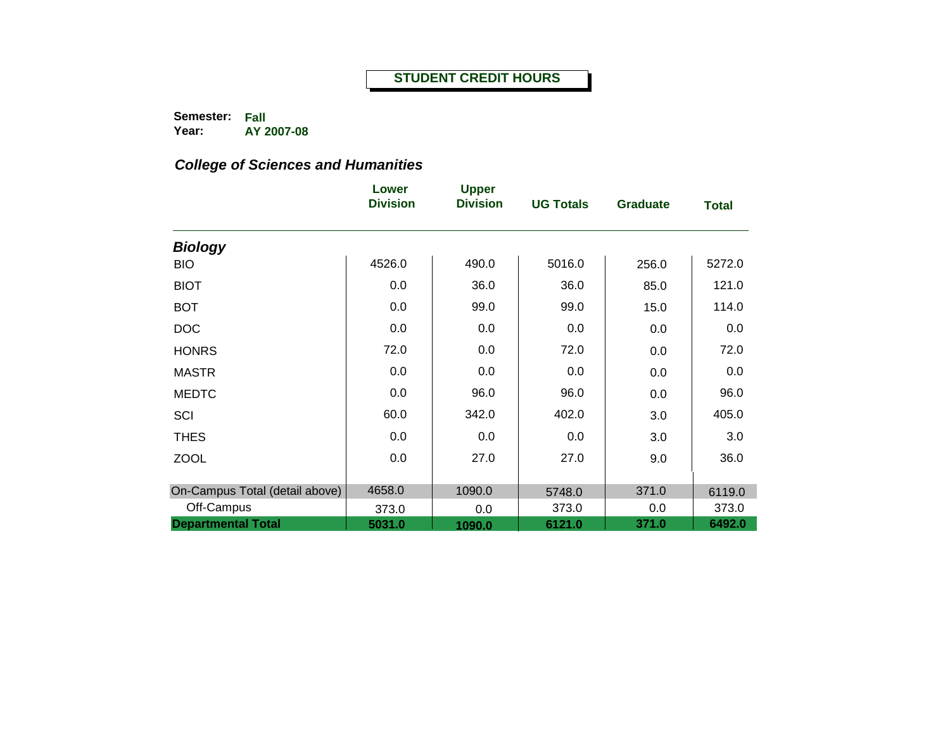**Semester: Fall Year: AY 2007-08**

|                                              | Lower<br><b>Division</b> | <b>Upper</b><br><b>Division</b> | <b>UG Totals</b> | <b>Graduate</b> | <b>Total</b>    |
|----------------------------------------------|--------------------------|---------------------------------|------------------|-----------------|-----------------|
| <b>Biology</b>                               |                          |                                 |                  |                 |                 |
| <b>BIO</b>                                   | 4526.0                   | 490.0                           | 5016.0           | 256.0           | 5272.0          |
| <b>BIOT</b>                                  | 0.0                      | 36.0                            | 36.0             | 85.0            | 121.0           |
| <b>BOT</b>                                   | 0.0                      | 99.0                            | 99.0             | 15.0            | 114.0           |
| <b>DOC</b>                                   | 0.0                      | 0.0                             | 0.0              | 0.0             | 0.0             |
| <b>HONRS</b>                                 | 72.0                     | 0.0                             | 72.0             | 0.0             | 72.0            |
| <b>MASTR</b>                                 | 0.0                      | 0.0                             | 0.0              | 0.0             | 0.0             |
| <b>MEDTC</b>                                 | 0.0                      | 96.0                            | 96.0             | 0.0             | 96.0            |
| SCI                                          | 60.0                     | 342.0                           | 402.0            | 3.0             | 405.0           |
| <b>THES</b>                                  | 0.0                      | 0.0                             | 0.0              | 3.0             | 3.0             |
| <b>ZOOL</b>                                  | 0.0                      | 27.0                            | 27.0             | 9.0             | 36.0            |
|                                              | 4658.0                   |                                 |                  |                 |                 |
| On-Campus Total (detail above)<br>Off-Campus | 373.0                    | 1090.0<br>0.0                   | 5748.0<br>373.0  | 371.0<br>0.0    | 6119.0<br>373.0 |
| <b>Departmental Total</b>                    | 5031.0                   | 1090.0                          | 6121.0           | 371.0           | 6492.0          |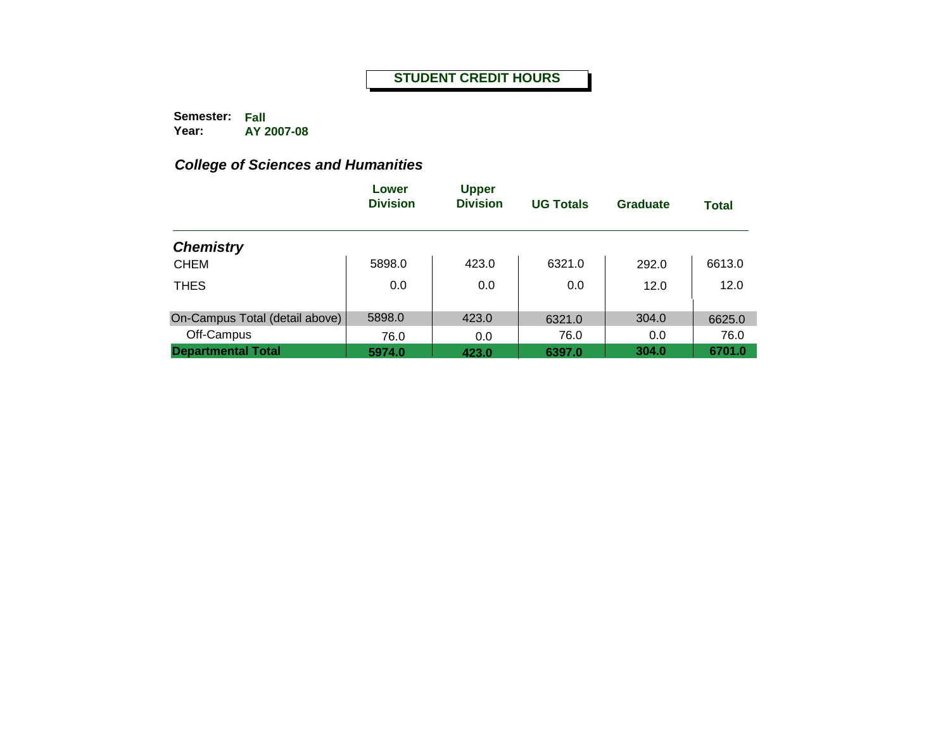**Semester: Fall Year: AY 2007-08**

|                                | Lower<br><b>Division</b> | <b>Upper</b><br><b>Division</b> | <b>UG Totals</b> | Graduate | <b>Total</b> |
|--------------------------------|--------------------------|---------------------------------|------------------|----------|--------------|
| <b>Chemistry</b>               |                          |                                 |                  |          |              |
| <b>CHEM</b>                    | 5898.0                   | 423.0                           | 6321.0           | 292.0    | 6613.0       |
| <b>THES</b>                    | 0.0                      | 0.0                             | 0.0              | 12.0     | 12.0         |
| On-Campus Total (detail above) | 5898.0                   | 423.0                           | 6321.0           | 304.0    | 6625.0       |
| Off-Campus                     | 76.0                     | 0.0                             | 76.0             | 0.0      | 76.0         |
| <b>Departmental Total</b>      | 5974.0                   | 423.0                           | 6397.0           | 304.0    | 6701.0       |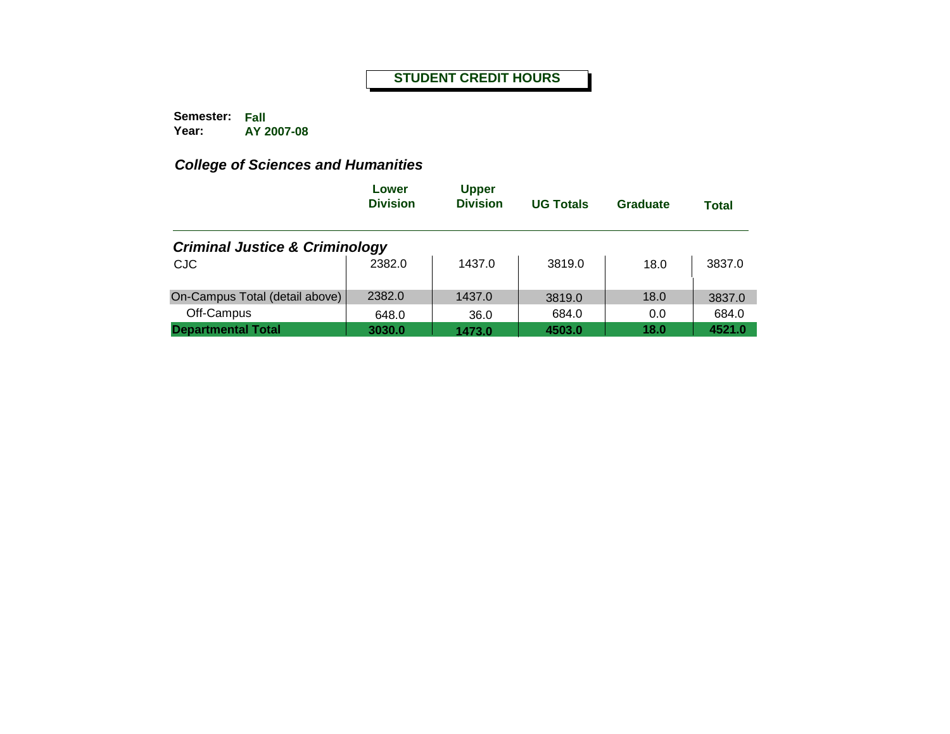**Semester: Fall Year: AY 2007-08**

|                                           | Lower<br><b>Division</b> | <b>Upper</b><br><b>Division</b> | <b>UG Totals</b> | Graduate | <b>Total</b> |
|-------------------------------------------|--------------------------|---------------------------------|------------------|----------|--------------|
| <b>Criminal Justice &amp; Criminology</b> |                          |                                 |                  |          |              |
| <b>CJC</b>                                | 2382.0                   | 1437.0                          | 3819.0           | 18.0     | 3837.0       |
| On-Campus Total (detail above)            | 2382.0                   | 1437.0                          | 3819.0           | 18.0     | 3837.0       |
| Off-Campus                                | 648.0                    | 36.0                            | 684.0            | 0.0      | 684.0        |
| <b>Departmental Total</b>                 | 3030.0                   | 1473.0                          | 4503.0           | 18.0     | 4521.0       |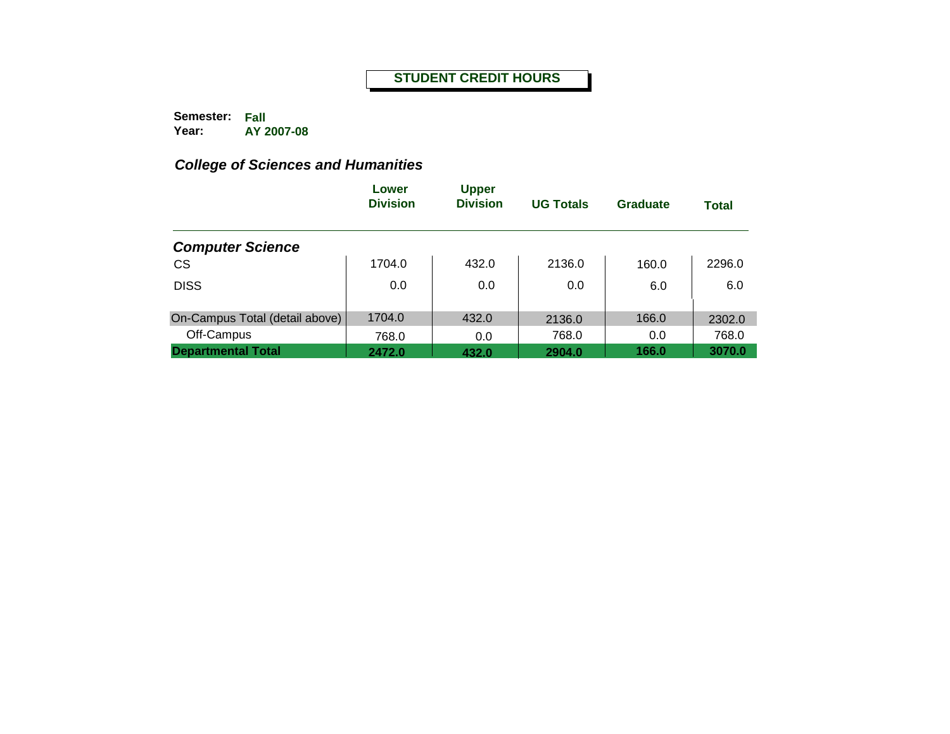**Semester: Fall Year: AY 2007-08**

|                                | Lower<br><b>Division</b> | <b>Upper</b><br><b>Division</b> | <b>UG Totals</b> | Graduate | <b>Total</b> |
|--------------------------------|--------------------------|---------------------------------|------------------|----------|--------------|
| <b>Computer Science</b>        |                          |                                 |                  |          |              |
| <b>CS</b>                      | 1704.0                   | 432.0                           | 2136.0           | 160.0    | 2296.0       |
| <b>DISS</b>                    | 0.0                      | 0.0                             | 0.0              | 6.0      | 6.0          |
| On-Campus Total (detail above) | 1704.0                   | 432.0                           | 2136.0           | 166.0    | 2302.0       |
| Off-Campus                     | 768.0                    | 0.0                             | 768.0            | 0.0      | 768.0        |
| <b>Departmental Total</b>      | 2472.0                   | 432.0                           | 2904.0           | 166.0    | 3070.0       |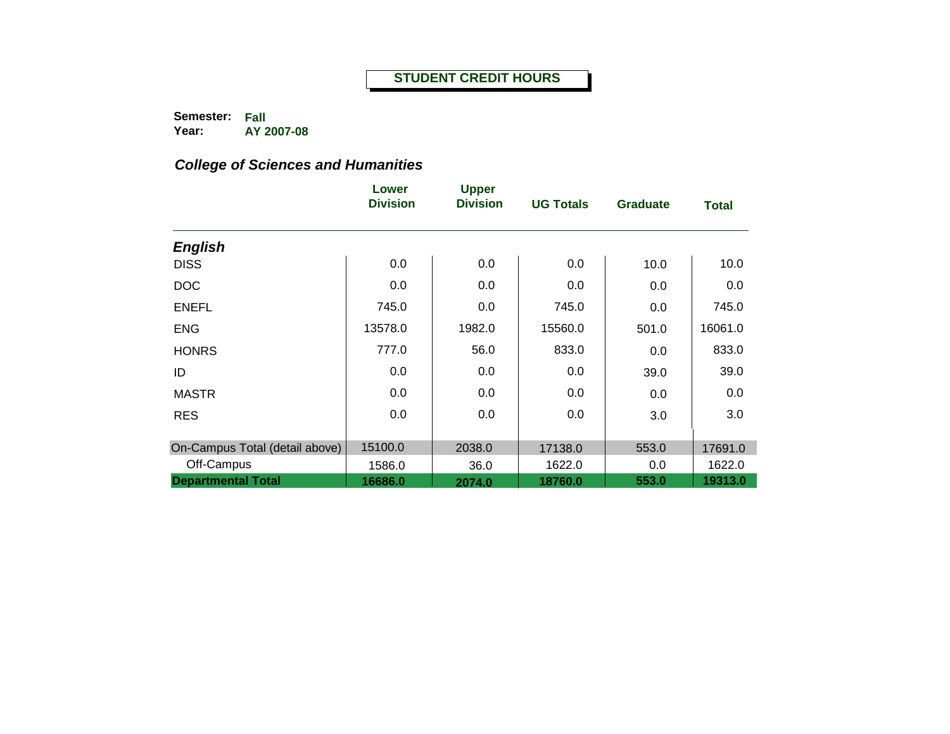**Semester: Fall Year: AY 2007-08**

|                                | Lower<br><b>Division</b> | <b>Upper</b><br><b>Division</b> | <b>UG Totals</b> | <b>Graduate</b> | <b>Total</b> |
|--------------------------------|--------------------------|---------------------------------|------------------|-----------------|--------------|
| <b>English</b>                 |                          |                                 |                  |                 |              |
| <b>DISS</b>                    | 0.0                      | 0.0                             | 0.0              | 10.0            | 10.0         |
| <b>DOC</b>                     | 0.0                      | 0.0                             | 0.0              | 0.0             | 0.0          |
| <b>ENEFL</b>                   | 745.0                    | 0.0                             | 745.0            | 0.0             | 745.0        |
| <b>ENG</b>                     | 13578.0                  | 1982.0                          | 15560.0          | 501.0           | 16061.0      |
| <b>HONRS</b>                   | 777.0                    | 56.0                            | 833.0            | 0.0             | 833.0        |
| ID                             | 0.0                      | 0.0                             | 0.0              | 39.0            | 39.0         |
| <b>MASTR</b>                   | 0.0                      | 0.0                             | 0.0              | 0.0             | 0.0          |
| <b>RES</b>                     | 0.0                      | 0.0                             | 0.0              | 3.0             | 3.0          |
|                                |                          |                                 |                  |                 |              |
| On-Campus Total (detail above) | 15100.0                  | 2038.0                          | 17138.0          | 553.0           | 17691.0      |
| Off-Campus                     | 1586.0                   | 36.0                            | 1622.0           | 0.0             | 1622.0       |
| <b>Departmental Total</b>      | 16686.0                  | 2074.0                          | 18760.0          | 553.0           | 19313.0      |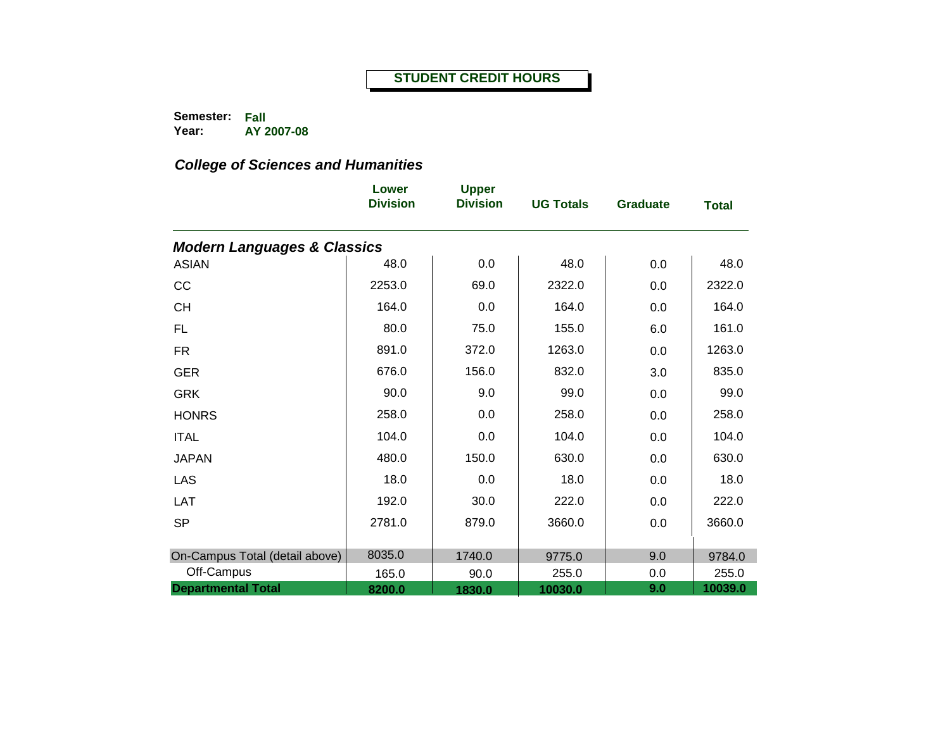**Semester: Fall Year: AY 2007-08**

|                                        | Lower<br><b>Division</b> | <b>Upper</b><br><b>Division</b> | <b>UG Totals</b> | <b>Graduate</b> | <b>Total</b> |
|----------------------------------------|--------------------------|---------------------------------|------------------|-----------------|--------------|
| <b>Modern Languages &amp; Classics</b> |                          |                                 |                  |                 |              |
| <b>ASIAN</b>                           | 48.0                     | 0.0                             | 48.0             | 0.0             | 48.0         |
| CC                                     | 2253.0                   | 69.0                            | 2322.0           | 0.0             | 2322.0       |
| <b>CH</b>                              | 164.0                    | 0.0                             | 164.0            | 0.0             | 164.0        |
| <b>FL</b>                              | 80.0                     | 75.0                            | 155.0            | 6.0             | 161.0        |
| <b>FR</b>                              | 891.0                    | 372.0                           | 1263.0           | 0.0             | 1263.0       |
| <b>GER</b>                             | 676.0                    | 156.0                           | 832.0            | 3.0             | 835.0        |
| <b>GRK</b>                             | 90.0                     | 9.0                             | 99.0             | 0.0             | 99.0         |
| <b>HONRS</b>                           | 258.0                    | 0.0                             | 258.0            | 0.0             | 258.0        |
| <b>ITAL</b>                            | 104.0                    | 0.0                             | 104.0            | 0.0             | 104.0        |
| <b>JAPAN</b>                           | 480.0                    | 150.0                           | 630.0            | 0.0             | 630.0        |
| LAS                                    | 18.0                     | 0.0                             | 18.0             | 0.0             | 18.0         |
| LAT                                    | 192.0                    | 30.0                            | 222.0            | 0.0             | 222.0        |
| <b>SP</b>                              | 2781.0                   | 879.0                           | 3660.0           | 0.0             | 3660.0       |
|                                        |                          |                                 |                  |                 |              |
| On-Campus Total (detail above)         | 8035.0                   | 1740.0                          | 9775.0           | 9.0             | 9784.0       |
| Off-Campus                             | 165.0                    | 90.0                            | 255.0            | 0.0             | 255.0        |
| <b>Departmental Total</b>              | 8200.0                   | 1830.0                          | 10030.0          | 9.0             | 10039.0      |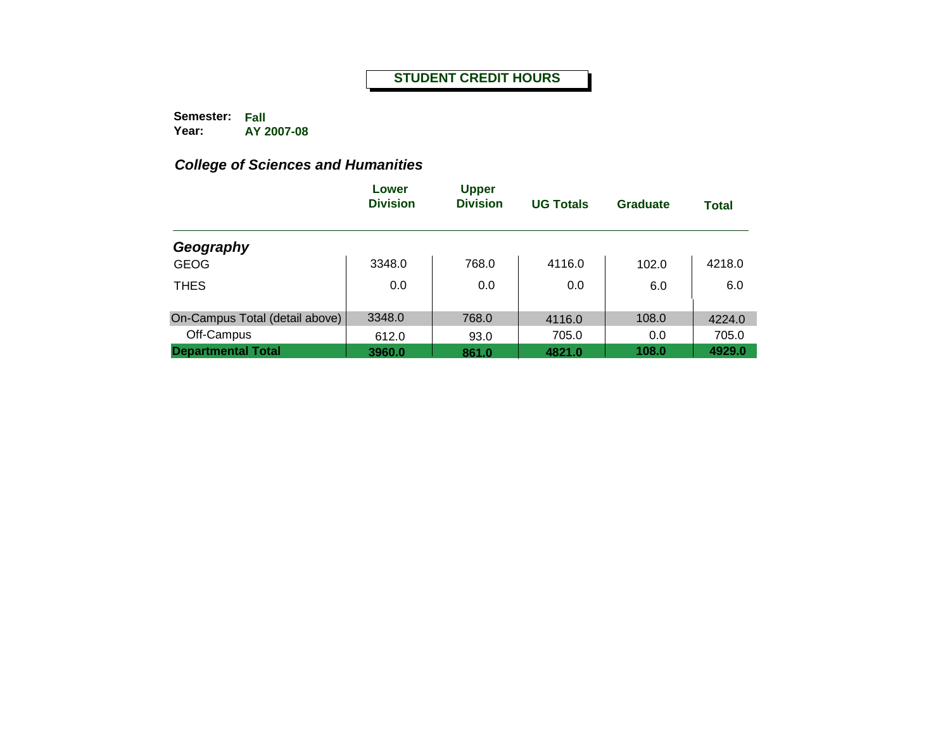**Semester: Fall Year: AY 2007-08**

|                                | Lower<br><b>Division</b> | <b>Upper</b><br><b>Division</b> | <b>UG Totals</b> | Graduate | <b>Total</b> |
|--------------------------------|--------------------------|---------------------------------|------------------|----------|--------------|
| Geography                      |                          |                                 |                  |          |              |
| <b>GEOG</b>                    | 3348.0                   | 768.0                           | 4116.0           | 102.0    | 4218.0       |
| <b>THES</b>                    | 0.0                      | 0.0                             | 0.0              | 6.0      | 6.0          |
| On-Campus Total (detail above) | 3348.0                   | 768.0                           | 4116.0           | 108.0    | 4224.0       |
| Off-Campus                     | 612.0                    | 93.0                            | 705.0            | 0.0      | 705.0        |
| <b>Departmental Total</b>      | 3960.0                   | 861.0                           | 4821.0           | 108.0    | 4929.0       |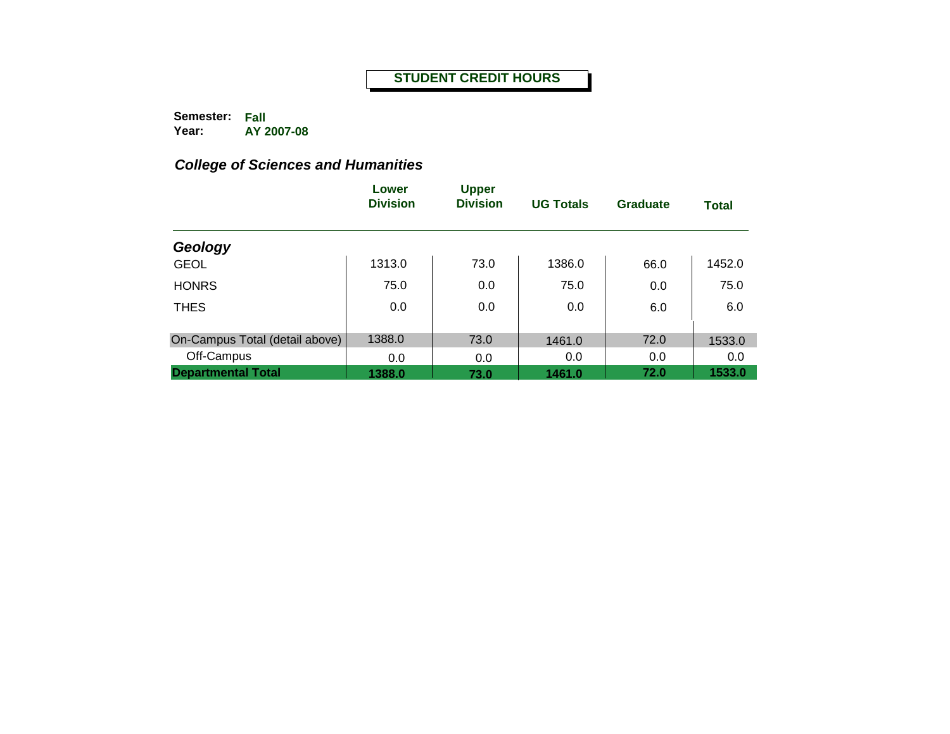**Semester: Fall Year: AY 2007-08**

|                                | Lower<br><b>Division</b> | <b>Upper</b><br><b>Division</b> | <b>UG Totals</b> | Graduate | <b>Total</b> |
|--------------------------------|--------------------------|---------------------------------|------------------|----------|--------------|
| Geology                        |                          |                                 |                  |          |              |
| <b>GEOL</b>                    | 1313.0                   | 73.0                            | 1386.0           | 66.0     | 1452.0       |
| <b>HONRS</b>                   | 75.0                     | 0.0                             | 75.0             | 0.0      | 75.0         |
| <b>THES</b>                    | 0.0                      | 0.0                             | 0.0              | 6.0      | 6.0          |
|                                |                          |                                 |                  |          |              |
| On-Campus Total (detail above) | 1388.0                   | 73.0                            | 1461.0           | 72.0     | 1533.0       |
| Off-Campus                     | 0.0                      | 0.0                             | 0.0              | 0.0      | 0.0          |
| <b>Departmental Total</b>      | 1388.0                   | 73.0                            | 1461.0           | 72.0     | 1533.0       |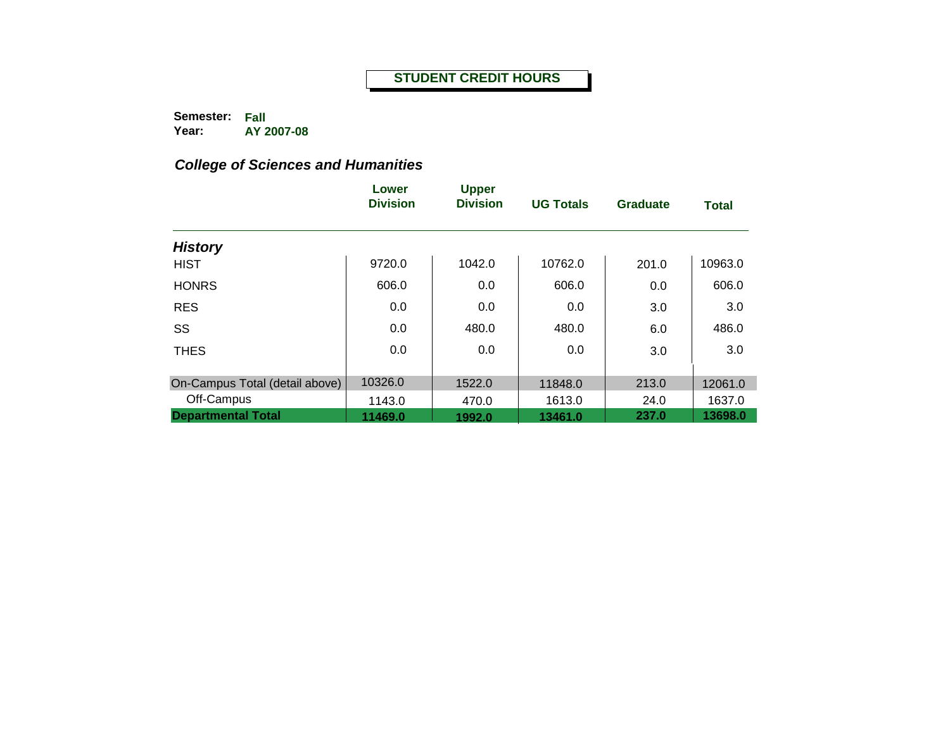**Semester: Fall Year: AY 2007-08**

|                                | Lower<br><b>Division</b> | <b>Upper</b><br><b>Division</b> | <b>UG Totals</b> | <b>Graduate</b> | Total   |
|--------------------------------|--------------------------|---------------------------------|------------------|-----------------|---------|
| <b>History</b>                 |                          |                                 |                  |                 |         |
| <b>HIST</b>                    | 9720.0                   | 1042.0                          | 10762.0          | 201.0           | 10963.0 |
| <b>HONRS</b>                   | 606.0                    | 0.0                             | 606.0            | 0.0             | 606.0   |
| <b>RES</b>                     | 0.0                      | 0.0                             | 0.0              | 3.0             | 3.0     |
| SS                             | 0.0                      | 480.0                           | 480.0            | 6.0             | 486.0   |
| <b>THES</b>                    | 0.0                      | 0.0                             | 0.0              | 3.0             | 3.0     |
| On-Campus Total (detail above) | 10326.0                  | 1522.0                          | 11848.0          | 213.0           | 12061.0 |
| Off-Campus                     | 1143.0                   | 470.0                           | 1613.0           | 24.0            | 1637.0  |
| <b>Departmental Total</b>      | 11469.0                  | 1992.0                          | 13461.0          | 237.0           | 13698.0 |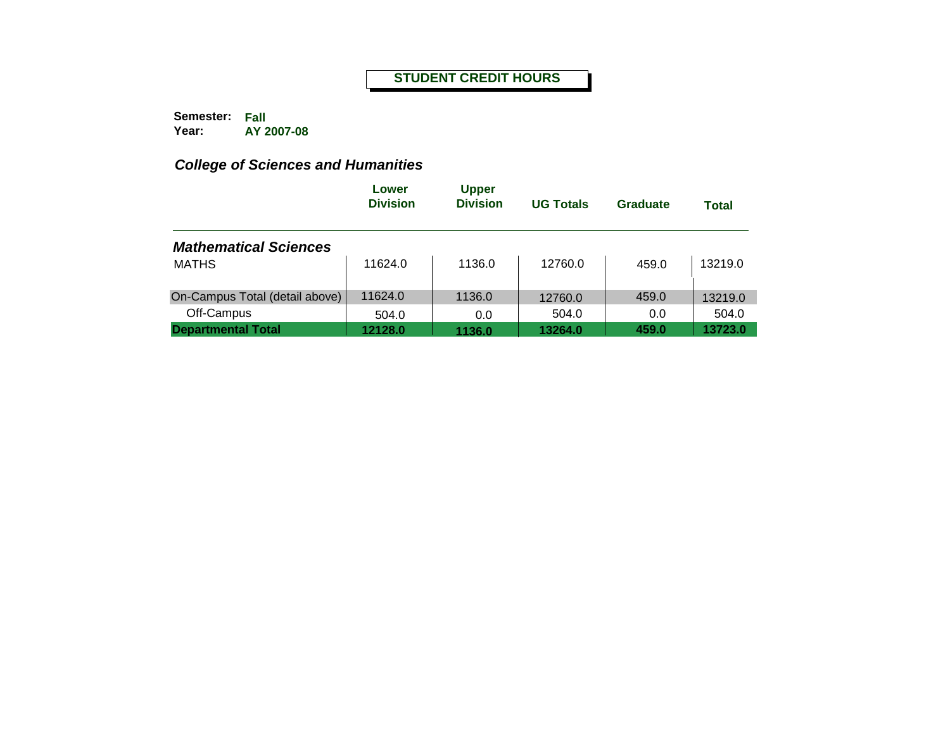**Semester: Fall Year: AY 2007-08**

|                                | Lower<br><b>Division</b> | <b>Upper</b><br><b>Division</b> | <b>UG Totals</b> | Graduate | <b>Total</b> |
|--------------------------------|--------------------------|---------------------------------|------------------|----------|--------------|
| <b>Mathematical Sciences</b>   |                          |                                 |                  |          |              |
| <b>MATHS</b>                   | 11624.0                  | 1136.0                          | 12760.0          | 459.0    | 13219.0      |
| On-Campus Total (detail above) | 11624.0                  | 1136.0                          | 12760.0          | 459.0    | 13219.0      |
| Off-Campus                     | 504.0                    | 0.0                             | 504.0            | 0.0      | 504.0        |
| <b>Departmental Total</b>      | 12128.0                  | 1136.0                          | 13264.0          | 459.0    | 13723.0      |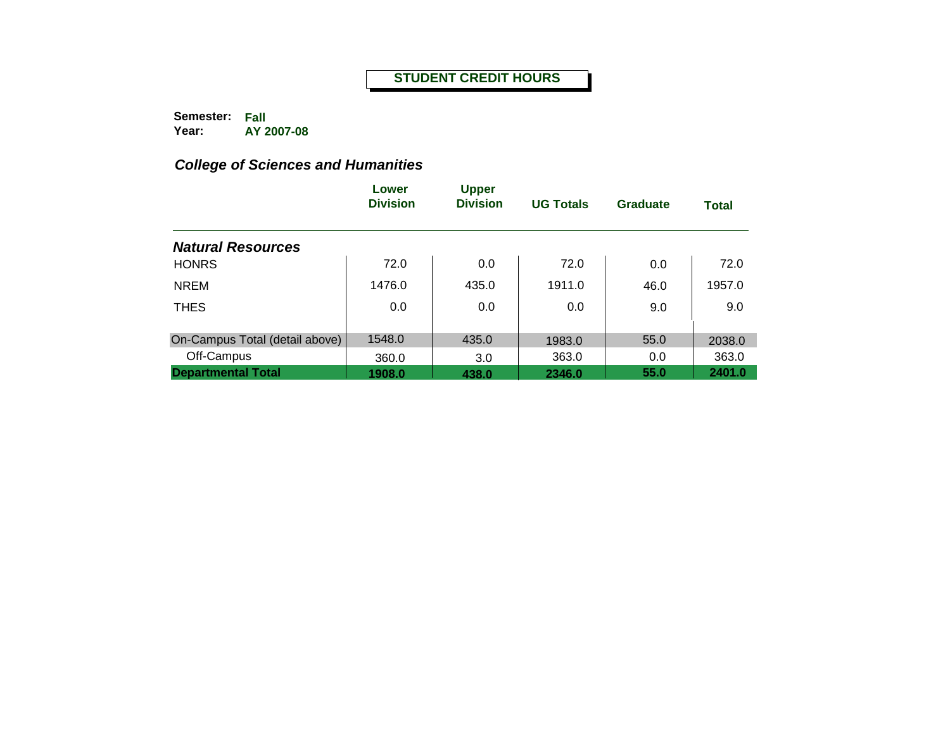**Semester: Fall Year: AY 2007-08**

|                                | Lower<br><b>Division</b> | <b>Upper</b><br><b>Division</b> | <b>UG Totals</b> | Graduate | <b>Total</b> |
|--------------------------------|--------------------------|---------------------------------|------------------|----------|--------------|
| <b>Natural Resources</b>       |                          |                                 |                  |          |              |
| <b>HONRS</b>                   | 72.0                     | 0.0                             | 72.0             | 0.0      | 72.0         |
| <b>NREM</b>                    | 1476.0                   | 435.0                           | 1911.0           | 46.0     | 1957.0       |
| <b>THES</b>                    | 0.0                      | 0.0                             | 0.0              | 9.0      | 9.0          |
| On-Campus Total (detail above) | 1548.0                   | 435.0                           | 1983.0           | 55.0     | 2038.0       |
| Off-Campus                     | 360.0                    | 3.0                             | 363.0            | 0.0      | 363.0        |
| <b>Departmental Total</b>      | 1908.0                   | 438.0                           | 2346.0           | 55.0     | 2401.0       |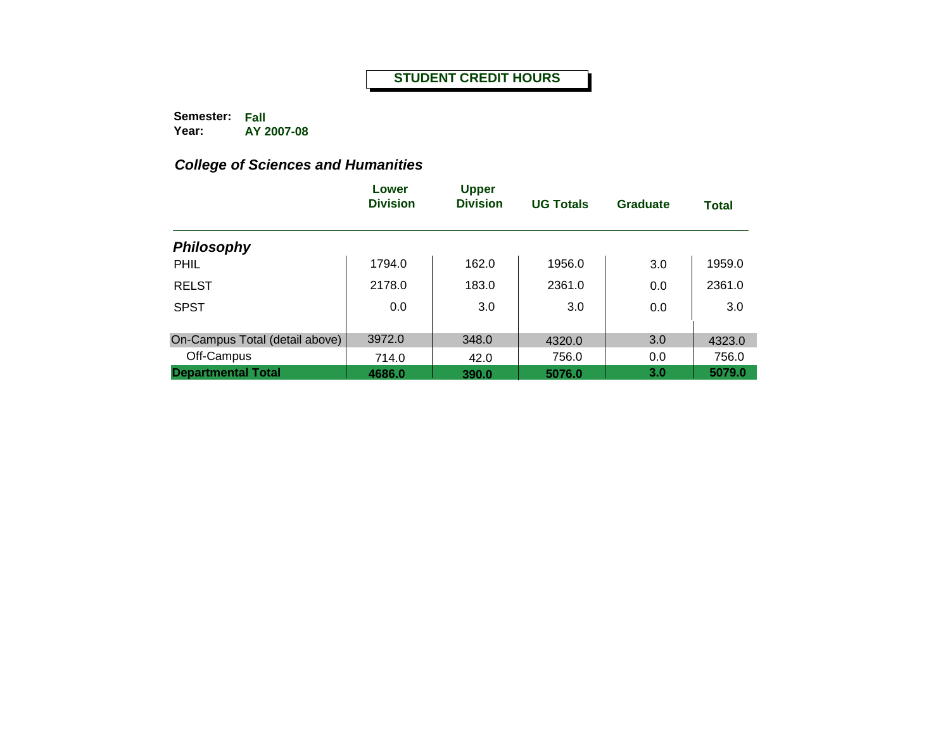**Semester: Fall Year: AY 2007-08**

|                                | Lower<br><b>Division</b> | <b>Upper</b><br><b>Division</b> | <b>UG Totals</b> | <b>Graduate</b> | <b>Total</b> |
|--------------------------------|--------------------------|---------------------------------|------------------|-----------------|--------------|
| <b>Philosophy</b>              |                          |                                 |                  |                 |              |
| <b>PHIL</b>                    | 1794.0                   | 162.0                           | 1956.0           | 3.0             | 1959.0       |
| <b>RELST</b>                   | 2178.0                   | 183.0                           | 2361.0           | 0.0             | 2361.0       |
| <b>SPST</b>                    | 0.0                      | 3.0                             | 3.0              | 0.0             | 3.0          |
| On-Campus Total (detail above) | 3972.0                   | 348.0                           | 4320.0           | 3.0             | 4323.0       |
| Off-Campus                     | 714.0                    | 42.0                            | 756.0            | 0.0             | 756.0        |
| <b>Departmental Total</b>      | 4686.0                   | 390.0                           | 5076.0           | 3.0             | 5079.0       |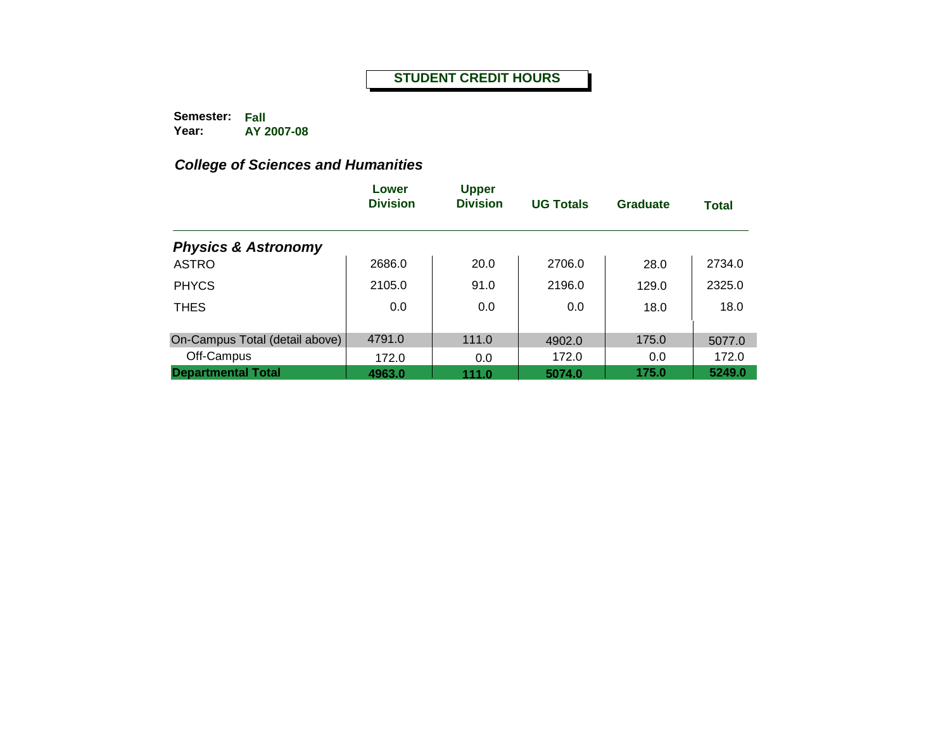**Semester: Fall Year: AY 2007-08**

|                                | Lower<br><b>Division</b> | <b>Upper</b><br><b>Division</b> | <b>UG Totals</b> | Graduate | <b>Total</b> |
|--------------------------------|--------------------------|---------------------------------|------------------|----------|--------------|
| <b>Physics &amp; Astronomy</b> |                          |                                 |                  |          |              |
| <b>ASTRO</b>                   | 2686.0                   | 20.0                            | 2706.0           | 28.0     | 2734.0       |
| <b>PHYCS</b>                   | 2105.0                   | 91.0                            | 2196.0           | 129.0    | 2325.0       |
| <b>THES</b>                    | 0.0                      | 0.0                             | 0.0              | 18.0     | 18.0         |
| On-Campus Total (detail above) | 4791.0                   | 111.0                           | 4902.0           | 175.0    | 5077.0       |
| Off-Campus                     | 172.0                    | 0.0                             | 172.0            | 0.0      | 172.0        |
| <b>Departmental Total</b>      | 4963.0                   | 111.0                           | 5074.0           | 175.0    | 5249.0       |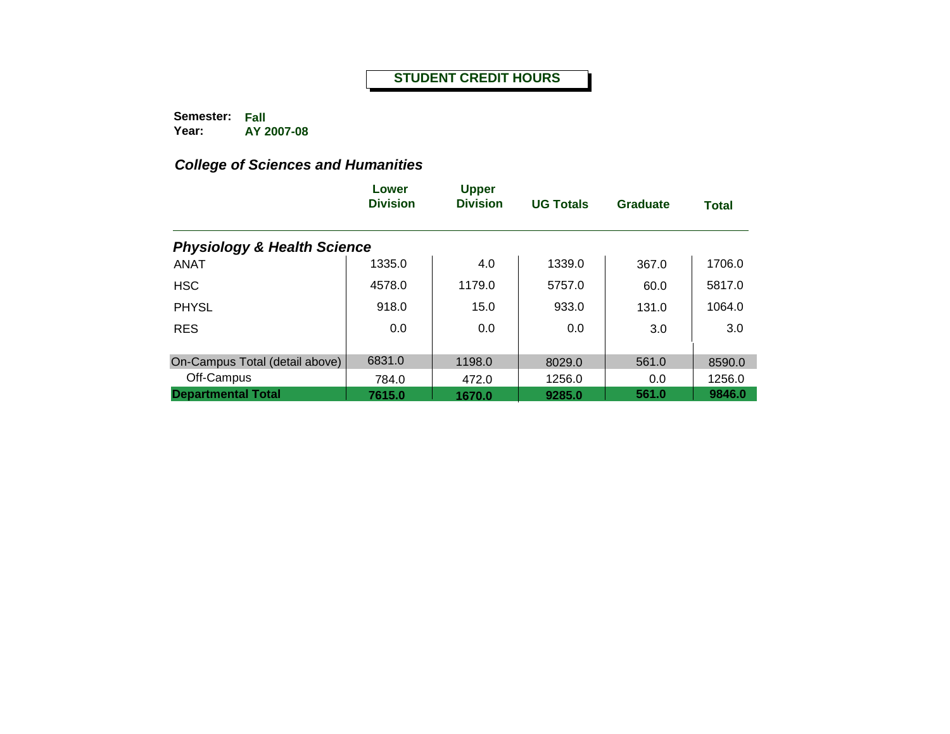**Semester: Fall Year: AY 2007-08**

|                                        | Lower<br><b>Division</b> | <b>Upper</b><br><b>Division</b> | <b>UG Totals</b> | Graduate | <b>Total</b> |
|----------------------------------------|--------------------------|---------------------------------|------------------|----------|--------------|
| <b>Physiology &amp; Health Science</b> |                          |                                 |                  |          |              |
| <b>ANAT</b>                            | 1335.0                   | 4.0                             | 1339.0           | 367.0    | 1706.0       |
| <b>HSC</b>                             | 4578.0                   | 1179.0                          | 5757.0           | 60.0     | 5817.0       |
| <b>PHYSL</b>                           | 918.0                    | 15.0                            | 933.0            | 131.0    | 1064.0       |
| <b>RES</b>                             | 0.0                      | 0.0                             | 0.0              | 3.0      | 3.0          |
| On-Campus Total (detail above)         | 6831.0                   | 1198.0                          | 8029.0           | 561.0    | 8590.0       |
| Off-Campus                             | 784.0                    | 472.0                           | 1256.0           | 0.0      | 1256.0       |
| <b>Departmental Total</b>              | 7615.0                   | 1670.0                          | 9285.0           | 561.0    | 9846.0       |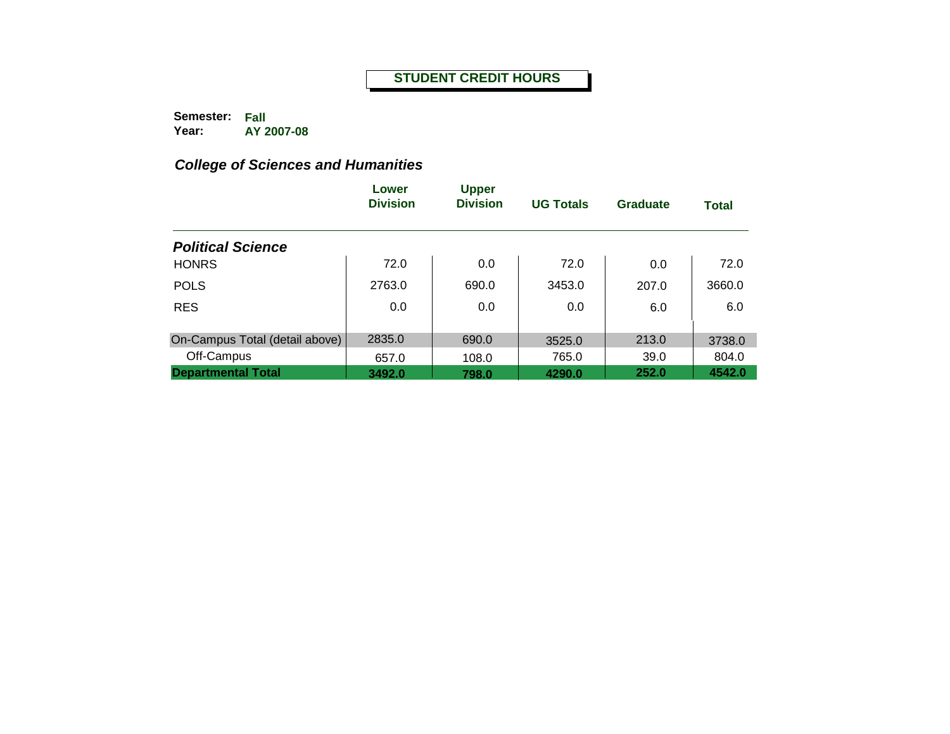**Semester: Fall Year: AY 2007-08**

|                                | Lower<br><b>Division</b> | <b>Upper</b><br><b>Division</b> | <b>UG Totals</b> | <b>Graduate</b> | <b>Total</b> |
|--------------------------------|--------------------------|---------------------------------|------------------|-----------------|--------------|
| <b>Political Science</b>       |                          |                                 |                  |                 |              |
| <b>HONRS</b>                   | 72.0                     | 0.0                             | 72.0             | 0.0             | 72.0         |
| <b>POLS</b>                    | 2763.0                   | 690.0                           | 3453.0           | 207.0           | 3660.0       |
| <b>RES</b>                     | 0.0                      | 0.0                             | 0.0              | 6.0             | 6.0          |
| On-Campus Total (detail above) | 2835.0                   | 690.0                           | 3525.0           | 213.0           | 3738.0       |
| Off-Campus                     | 657.0                    | 108.0                           | 765.0            | 39.0            | 804.0        |
| <b>Departmental Total</b>      | 3492.0                   | 798.0                           | 4290.0           | 252.0           | 4542.0       |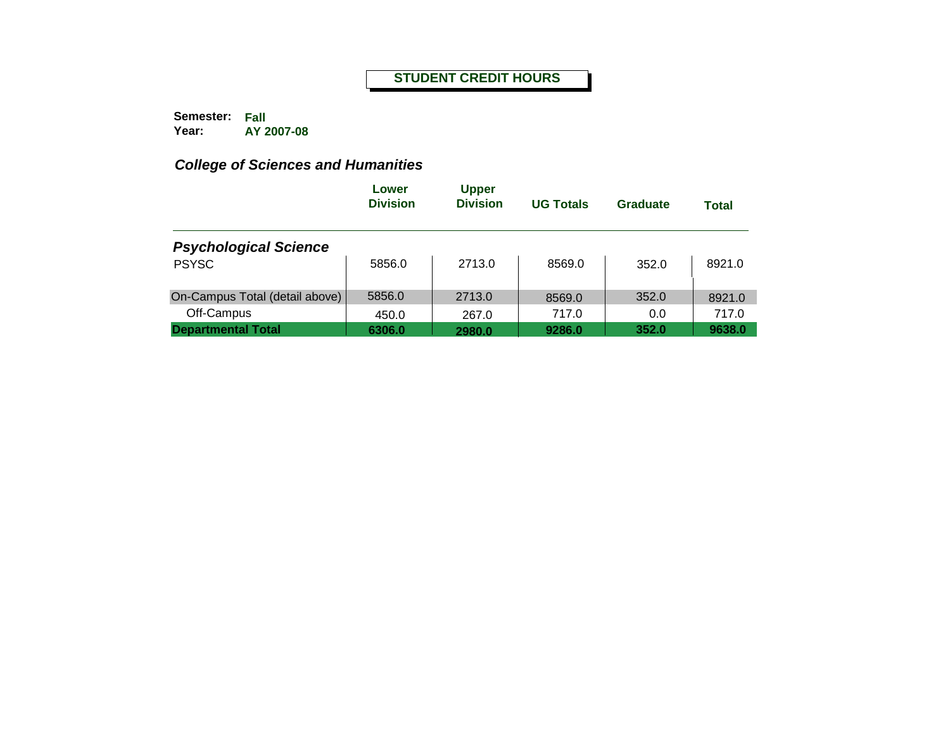**Semester: Fall Year: AY 2007-08**

|                                | Lower<br><b>Division</b> | <b>Upper</b><br><b>Division</b> | <b>UG Totals</b> | Graduate | <b>Total</b> |
|--------------------------------|--------------------------|---------------------------------|------------------|----------|--------------|
| <b>Psychological Science</b>   |                          |                                 |                  |          |              |
| <b>PSYSC</b>                   | 5856.0                   | 2713.0                          | 8569.0           | 352.0    | 8921.0       |
| On-Campus Total (detail above) | 5856.0                   | 2713.0                          | 8569.0           | 352.0    | 8921.0       |
| Off-Campus                     | 450.0                    | 267.0                           | 717.0            | 0.0      | 717.0        |
| <b>Departmental Total</b>      | 6306.0                   | 2980.0                          | 9286.0           | 352.0    | 9638.0       |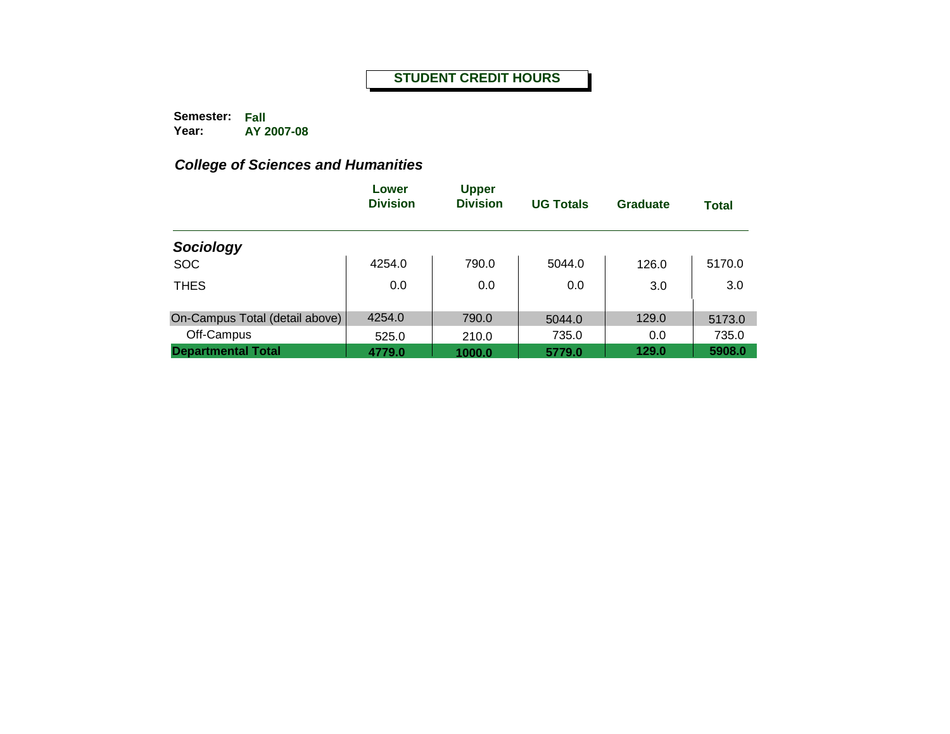**Semester: Fall Year: AY 2007-08**

|                                | Lower<br><b>Division</b> | <b>Upper</b><br><b>Division</b> | <b>UG Totals</b> | Graduate | <b>Total</b> |
|--------------------------------|--------------------------|---------------------------------|------------------|----------|--------------|
| Sociology                      |                          |                                 |                  |          |              |
| <b>SOC</b>                     | 4254.0                   | 790.0                           | 5044.0           | 126.0    | 5170.0       |
| <b>THES</b>                    | 0.0                      | 0.0                             | 0.0              | 3.0      | 3.0          |
| On-Campus Total (detail above) | 4254.0                   | 790.0                           | 5044.0           | 129.0    | 5173.0       |
| Off-Campus                     | 525.0                    | 210.0                           | 735.0            | 0.0      | 735.0        |
| <b>Departmental Total</b>      | 4779.0                   | 1000.0                          | 5779.0           | 129.0    | 5908.0       |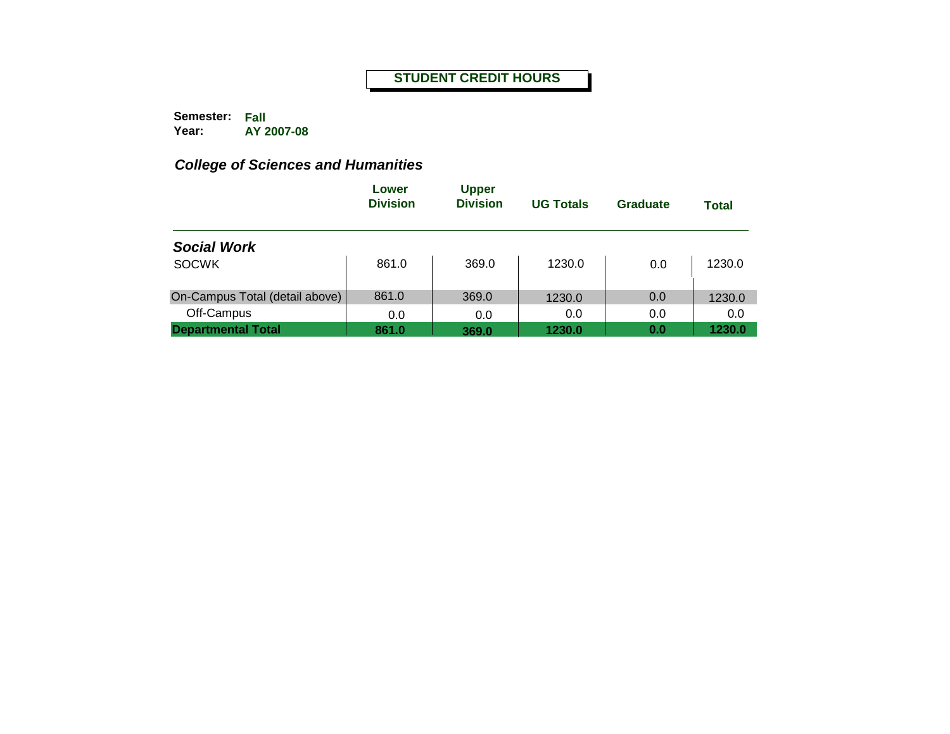**Semester: Fall Year: AY 2007-08**

|                                | Lower<br><b>Division</b> | <b>Upper</b><br><b>Division</b> | <b>UG Totals</b> | Graduate | <b>Total</b> |
|--------------------------------|--------------------------|---------------------------------|------------------|----------|--------------|
| <b>Social Work</b>             |                          |                                 |                  |          |              |
| <b>SOCWK</b>                   | 861.0                    | 369.0                           | 1230.0           | 0.0      | 1230.0       |
| On-Campus Total (detail above) | 861.0                    | 369.0                           | 1230.0           | 0.0      | 1230.0       |
| Off-Campus                     | 0.0                      | 0.0                             | 0.0              | 0.0      | 0.0          |
| <b>Departmental Total</b>      | 861.0                    | 369.0                           | 1230.0           | 0.0      | 1230.0       |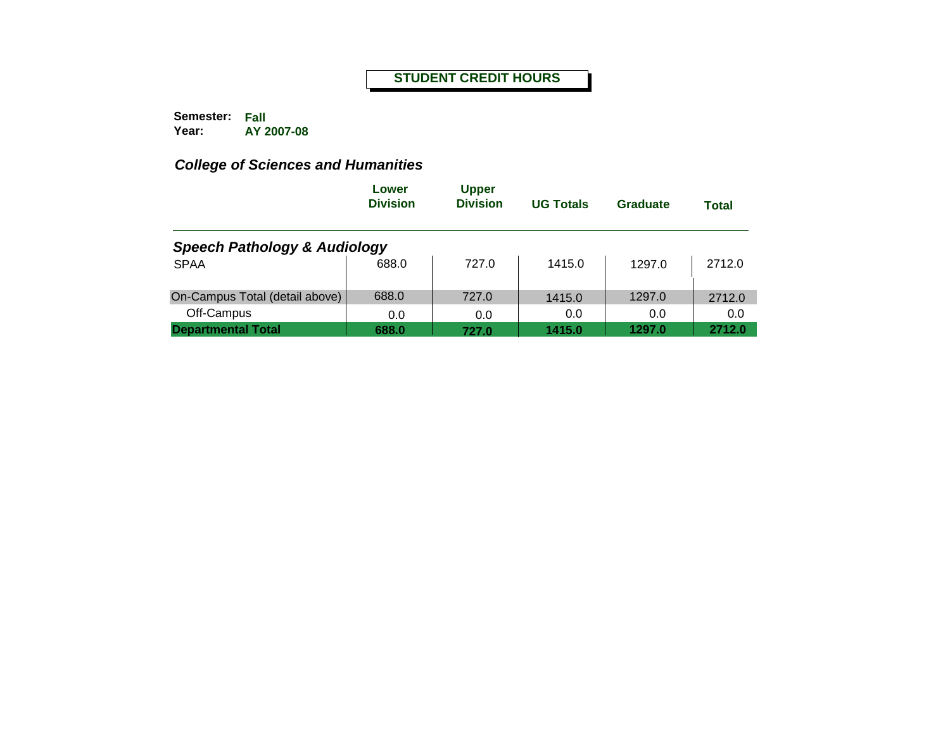**Semester: Fall Year: AY 2007-08**

|                                         | Lower<br><b>Division</b> | <b>Upper</b><br><b>Division</b> | <b>UG Totals</b> | Graduate | <b>Total</b> |
|-----------------------------------------|--------------------------|---------------------------------|------------------|----------|--------------|
| <b>Speech Pathology &amp; Audiology</b> |                          |                                 |                  |          |              |
| <b>SPAA</b>                             | 688.0                    | 727.0                           | 1415.0           | 1297.0   | 2712.0       |
| On-Campus Total (detail above)          | 688.0                    | 727.0                           | 1415.0           | 1297.0   | 2712.0       |
| Off-Campus                              | 0.0                      | 0.0                             | 0.0              | 0.0      | 0.0          |
| <b>Departmental Total</b>               | 688.0                    | 727.0                           | 1415.0           | 1297.0   | 2712.0       |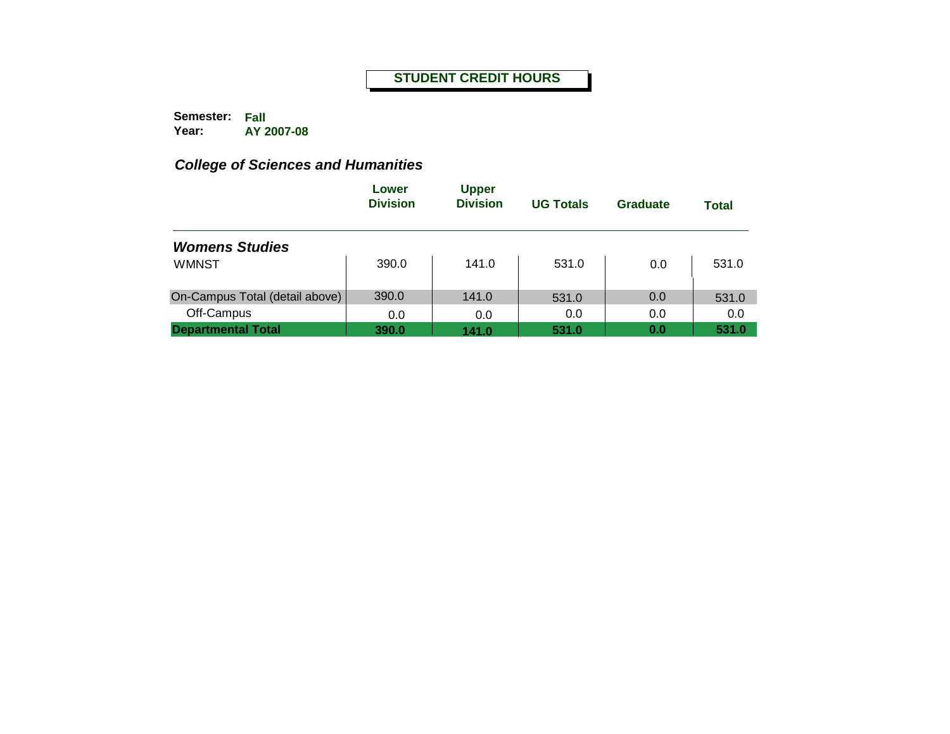**Semester: Fall Year: AY 2007-08**

|                                | Lower<br><b>Division</b> | <b>Upper</b><br><b>Division</b> | <b>UG Totals</b> | Graduate | <b>Total</b> |
|--------------------------------|--------------------------|---------------------------------|------------------|----------|--------------|
| <b>Womens Studies</b>          |                          |                                 |                  |          |              |
| <b>WMNST</b>                   | 390.0                    | 141.0                           | 531.0            | 0.0      | 531.0        |
| On-Campus Total (detail above) | 390.0                    | 141.0                           | 531.0            | 0.0      | 531.0        |
| Off-Campus                     | 0.0                      | 0.0                             | 0.0              | 0.0      | 0.0          |
| <b>Departmental Total</b>      | 390.0                    | 141.0                           | 531.0            | 0.0      | 531.0        |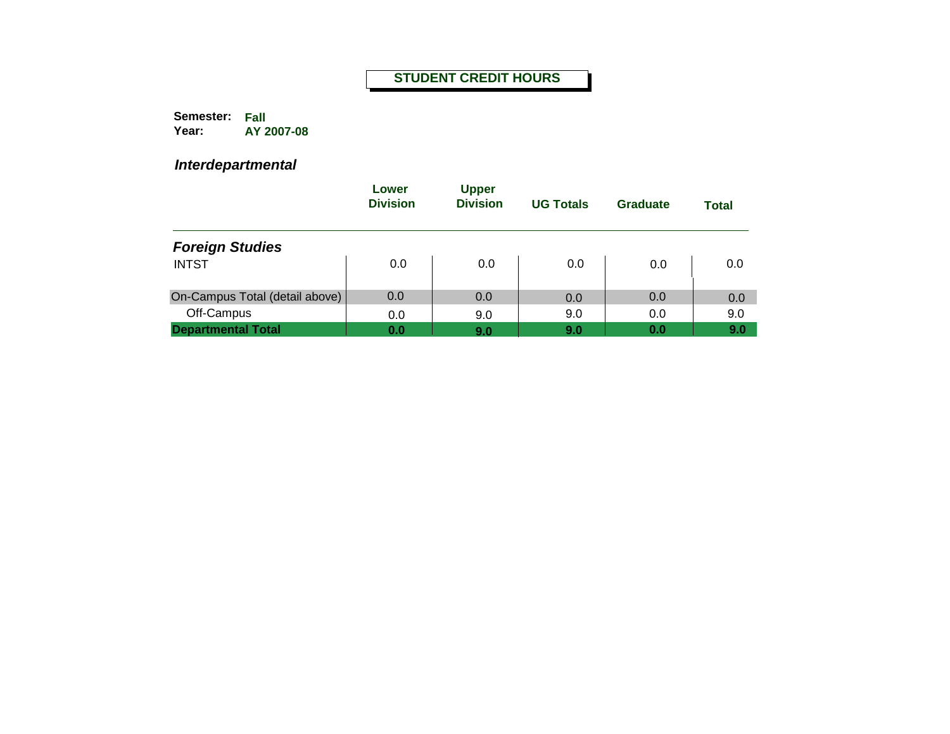**Semester: Fall Year: AY 2007-08**

|                                | Lower<br><b>Division</b> | <b>Upper</b><br><b>Division</b> | <b>UG Totals</b> | Graduate | <b>Total</b> |
|--------------------------------|--------------------------|---------------------------------|------------------|----------|--------------|
| <b>Foreign Studies</b>         |                          |                                 |                  |          |              |
| <b>INTST</b>                   | 0.0                      | 0.0                             | 0.0              | 0.0      | 0.0          |
| On-Campus Total (detail above) | 0.0                      | 0.0                             | 0.0              | 0.0      | 0.0          |
| Off-Campus                     | 0.0                      | 9.0                             | 9.0              | 0.0      | 9.0          |
| <b>Departmental Total</b>      | 0.0                      | 9.0                             | 9.0              | 0.0      | 9.0          |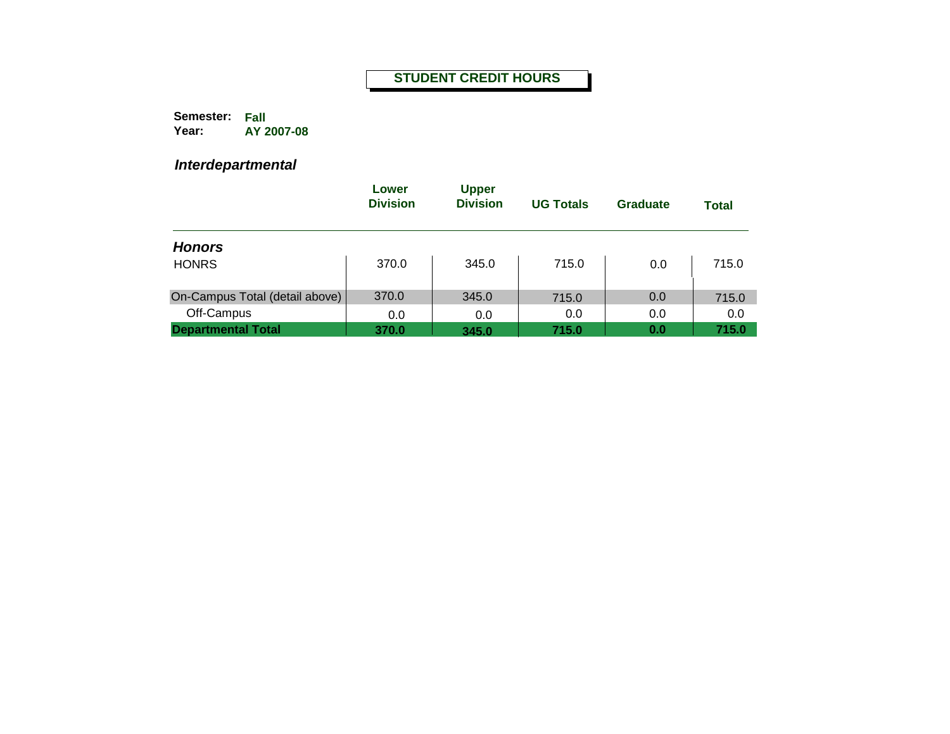**Semester: Fall Year: AY 2007-08**

|                                | Lower<br><b>Division</b> | <b>Upper</b><br><b>Division</b> | <b>UG Totals</b> | <b>Graduate</b> | <b>Total</b> |
|--------------------------------|--------------------------|---------------------------------|------------------|-----------------|--------------|
| <b>Honors</b>                  |                          |                                 |                  |                 |              |
| <b>HONRS</b>                   | 370.0                    | 345.0                           | 715.0            | 0.0             | 715.0        |
| On-Campus Total (detail above) | 370.0                    | 345.0                           | 715.0            | 0.0             | 715.0        |
| Off-Campus                     | 0.0                      | 0.0                             | 0.0              | 0.0             | 0.0          |
| <b>Departmental Total</b>      | 370.0                    | 345.0                           | 715.0            | 0.0             | 715.0        |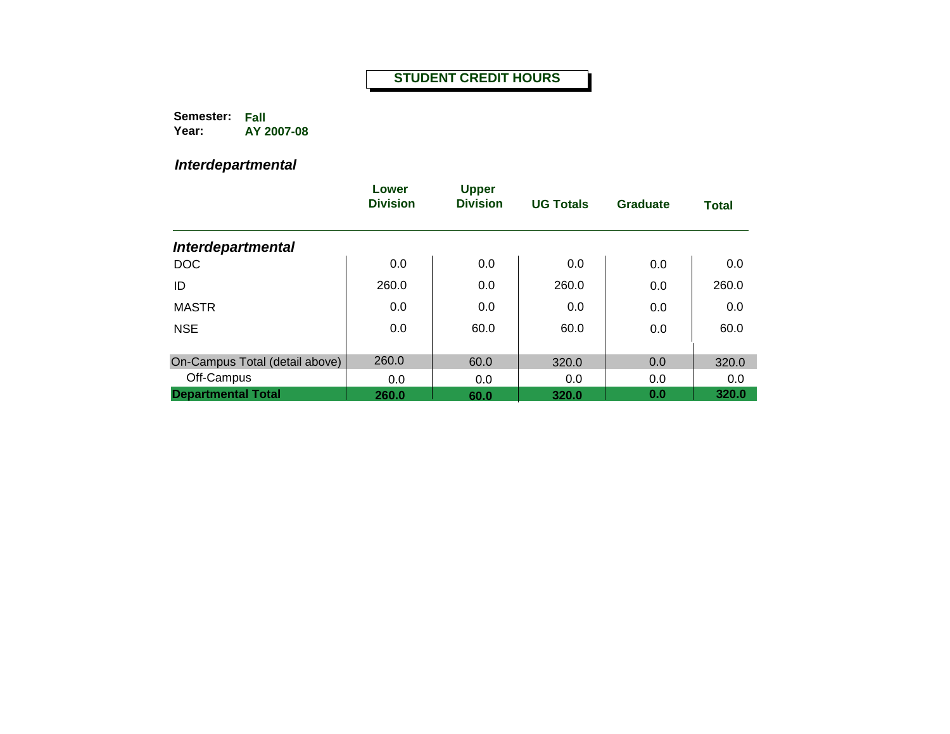**Semester: Fall Year: AY 2007-08**

|                                | Lower<br><b>Division</b> | <b>Upper</b><br><b>Division</b> | <b>UG Totals</b> | Graduate | <b>Total</b> |
|--------------------------------|--------------------------|---------------------------------|------------------|----------|--------------|
| <b>Interdepartmental</b>       |                          |                                 |                  |          |              |
| <b>DOC</b>                     | 0.0                      | 0.0                             | 0.0              | 0.0      | 0.0          |
| ID                             | 260.0                    | 0.0                             | 260.0            | 0.0      | 260.0        |
| <b>MASTR</b>                   | 0.0                      | 0.0                             | 0.0              | 0.0      | 0.0          |
| <b>NSE</b>                     | 0.0                      | 60.0                            | 60.0             | 0.0      | 60.0         |
| On-Campus Total (detail above) | 260.0                    | 60.0                            | 320.0            | 0.0      | 320.0        |
| Off-Campus                     | 0.0                      | 0.0                             | 0.0              | 0.0      | 0.0          |
| <b>Departmental Total</b>      | 260.0                    | 60.0                            | 320.0            | 0.0      | 320.0        |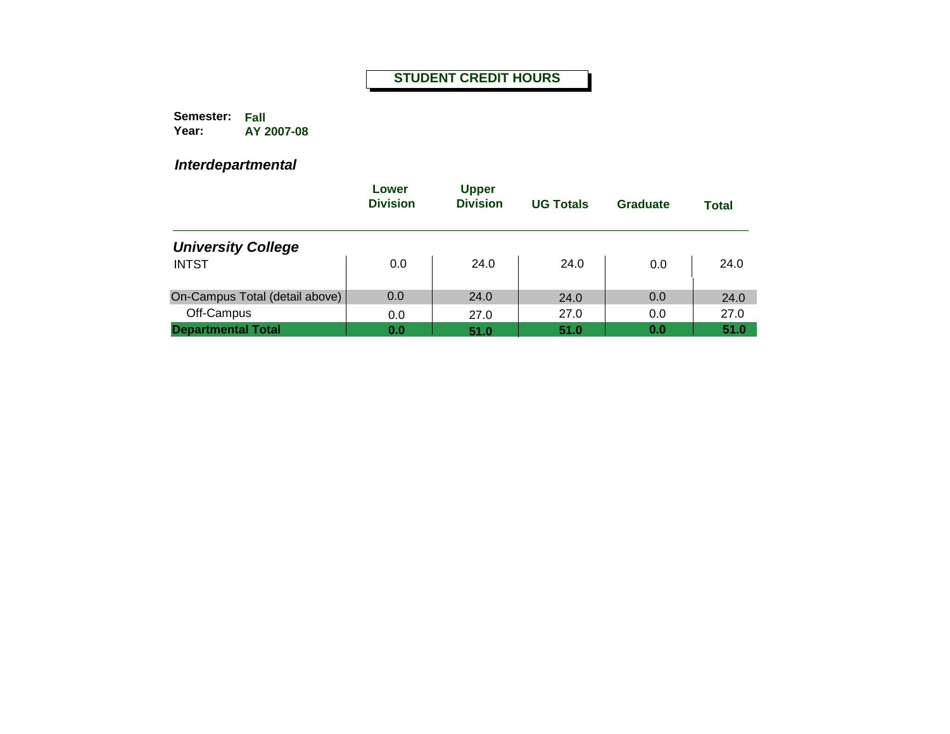**Semester: Fall Year: AY 2007-08**

|                                | Lower<br><b>Division</b> | <b>Upper</b><br><b>Division</b> | <b>UG Totals</b> | Graduate | <b>Total</b> |
|--------------------------------|--------------------------|---------------------------------|------------------|----------|--------------|
| <b>University College</b>      |                          |                                 |                  |          |              |
| <b>INTST</b>                   | 0.0                      | 24.0                            | 24.0             | 0.0      | 24.0         |
| On-Campus Total (detail above) | 0.0                      | 24.0                            | 24.0             | 0.0      | 24.0         |
| Off-Campus                     | 0.0                      | 27.0                            | 27.0             | 0.0      | 27.0         |
| <b>Departmental Total</b>      | 0.0                      | 51.0                            | 51.0             | 0.0      | 51.0         |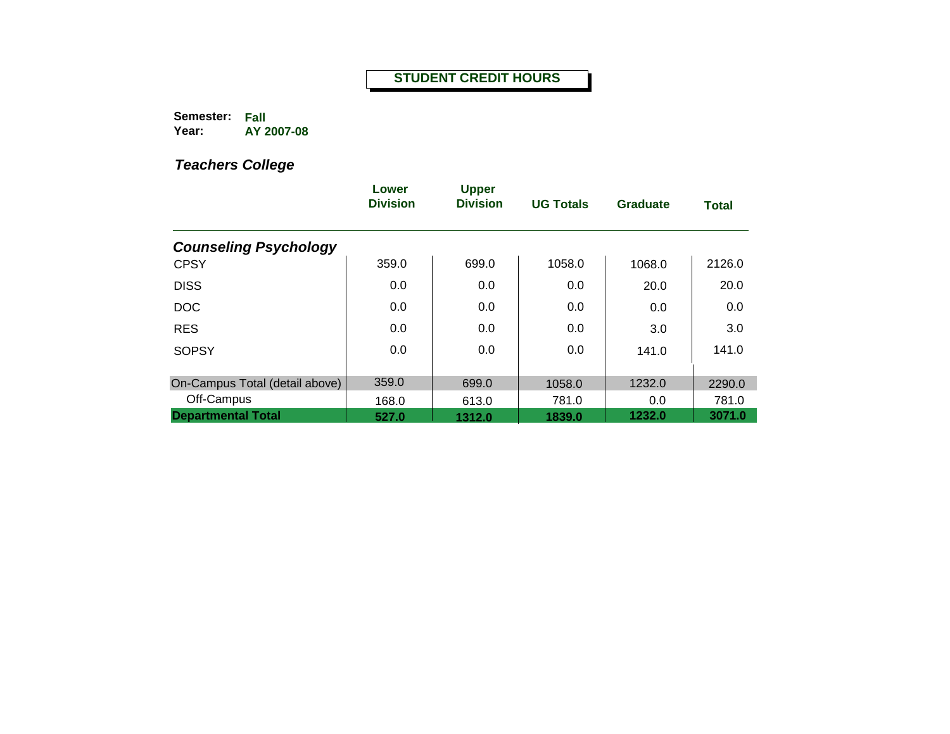**Semester: Fall Year: AY 2007-08**

|                                | Lower<br><b>Division</b> | <b>Upper</b><br><b>Division</b> | <b>UG Totals</b> | <b>Graduate</b> | <b>Total</b> |
|--------------------------------|--------------------------|---------------------------------|------------------|-----------------|--------------|
| <b>Counseling Psychology</b>   |                          |                                 |                  |                 |              |
| <b>CPSY</b>                    | 359.0                    | 699.0                           | 1058.0           | 1068.0          | 2126.0       |
| <b>DISS</b>                    | 0.0                      | 0.0                             | 0.0              | 20.0            | 20.0         |
| <b>DOC</b>                     | 0.0                      | 0.0                             | 0.0              | 0.0             | 0.0          |
| <b>RES</b>                     | 0.0                      | 0.0                             | 0.0              | 3.0             | 3.0          |
| <b>SOPSY</b>                   | 0.0                      | 0.0                             | 0.0              | 141.0           | 141.0        |
| On-Campus Total (detail above) | 359.0                    | 699.0                           | 1058.0           | 1232.0          | 2290.0       |
| Off-Campus                     | 168.0                    | 613.0                           | 781.0            | 0.0             | 781.0        |
| <b>Departmental Total</b>      | 527.0                    | 1312.0                          | 1839.0           | 1232.0          | 3071.0       |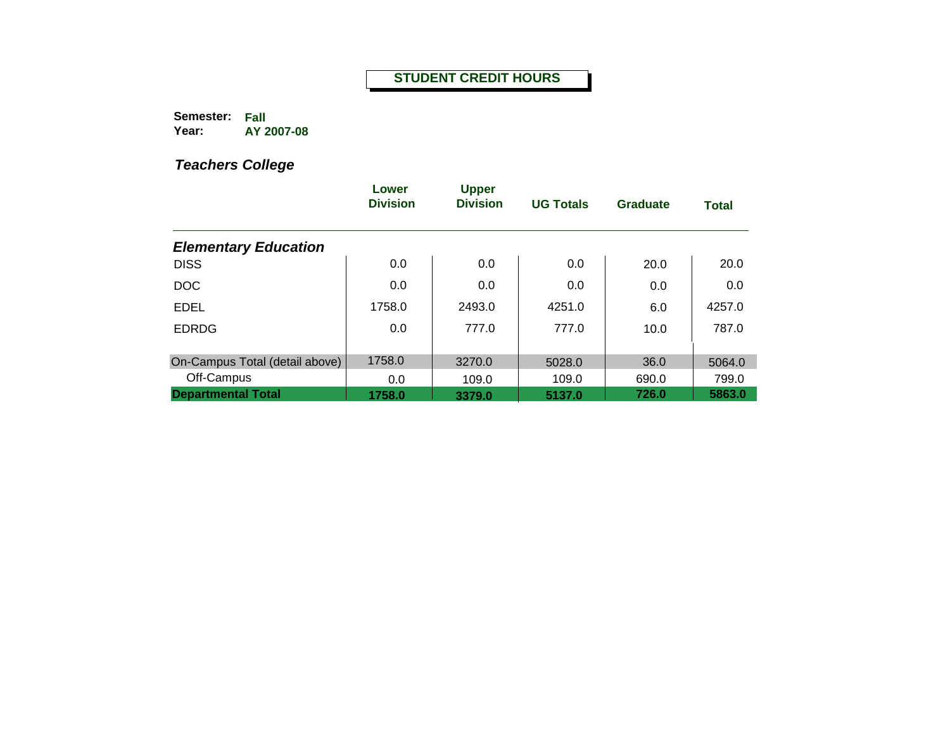**Semester: Fall Year: AY 2007-08**

|                                | Lower<br><b>Division</b> | <b>Upper</b><br><b>Division</b> | <b>UG Totals</b> | Graduate | <b>Total</b> |
|--------------------------------|--------------------------|---------------------------------|------------------|----------|--------------|
| <b>Elementary Education</b>    |                          |                                 |                  |          |              |
| <b>DISS</b>                    | 0.0                      | 0.0                             | 0.0              | 20.0     | 20.0         |
| <b>DOC</b>                     | 0.0                      | 0.0                             | 0.0              | 0.0      | 0.0          |
| <b>EDEL</b>                    | 1758.0                   | 2493.0                          | 4251.0           | 6.0      | 4257.0       |
| <b>EDRDG</b>                   | 0.0                      | 777.0                           | 777.0            | 10.0     | 787.0        |
| On-Campus Total (detail above) | 1758.0                   | 3270.0                          | 5028.0           | 36.0     | 5064.0       |
| Off-Campus                     | 0.0                      | 109.0                           | 109.0            | 690.0    | 799.0        |
| <b>Departmental Total</b>      | 1758.0                   | 3379.0                          | 5137.0           | 726.0    | 5863.0       |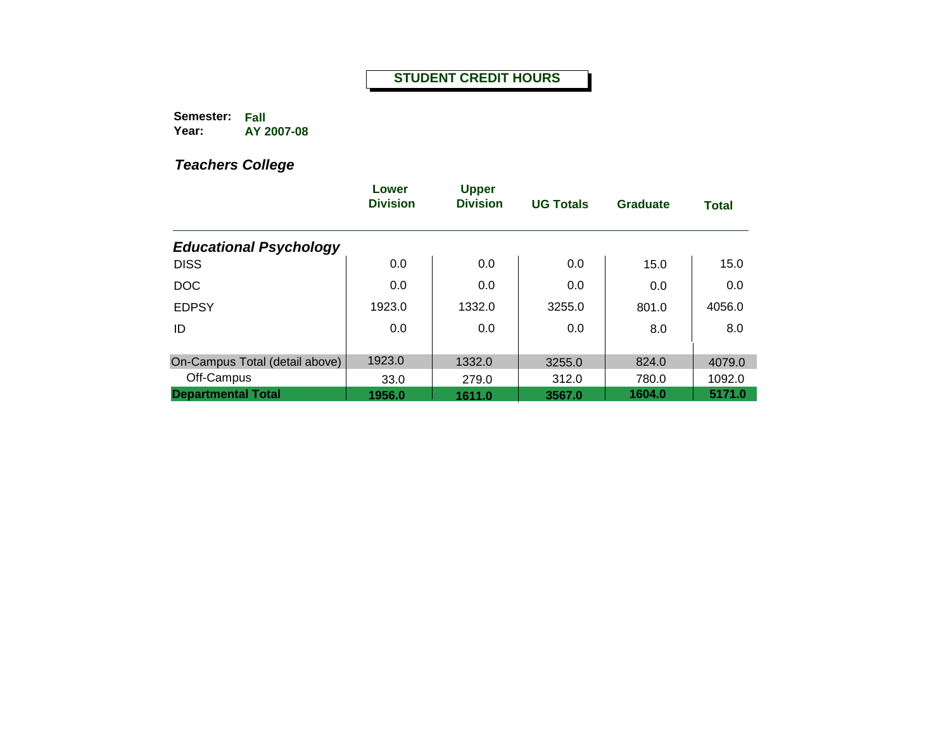**Semester: Fall Year: AY 2007-08**

|                                | Lower<br><b>Division</b> | <b>Upper</b><br><b>Division</b> | <b>UG Totals</b> | Graduate | <b>Total</b> |
|--------------------------------|--------------------------|---------------------------------|------------------|----------|--------------|
| <b>Educational Psychology</b>  |                          |                                 |                  |          |              |
| <b>DISS</b>                    | 0.0                      | 0.0                             | 0.0              | 15.0     | 15.0         |
| <b>DOC</b>                     | 0.0                      | 0.0                             | 0.0              | 0.0      | 0.0          |
| <b>EDPSY</b>                   | 1923.0                   | 1332.0                          | 3255.0           | 801.0    | 4056.0       |
| ID                             | 0.0                      | 0.0                             | 0.0              | 8.0      | 8.0          |
|                                |                          |                                 |                  |          |              |
| On-Campus Total (detail above) | 1923.0                   | 1332.0                          | 3255.0           | 824.0    | 4079.0       |
| Off-Campus                     | 33.0                     | 279.0                           | 312.0            | 780.0    | 1092.0       |
| <b>Departmental Total</b>      | 1956.0                   | 1611.0                          | 3567.0           | 1604.0   | 5171.0       |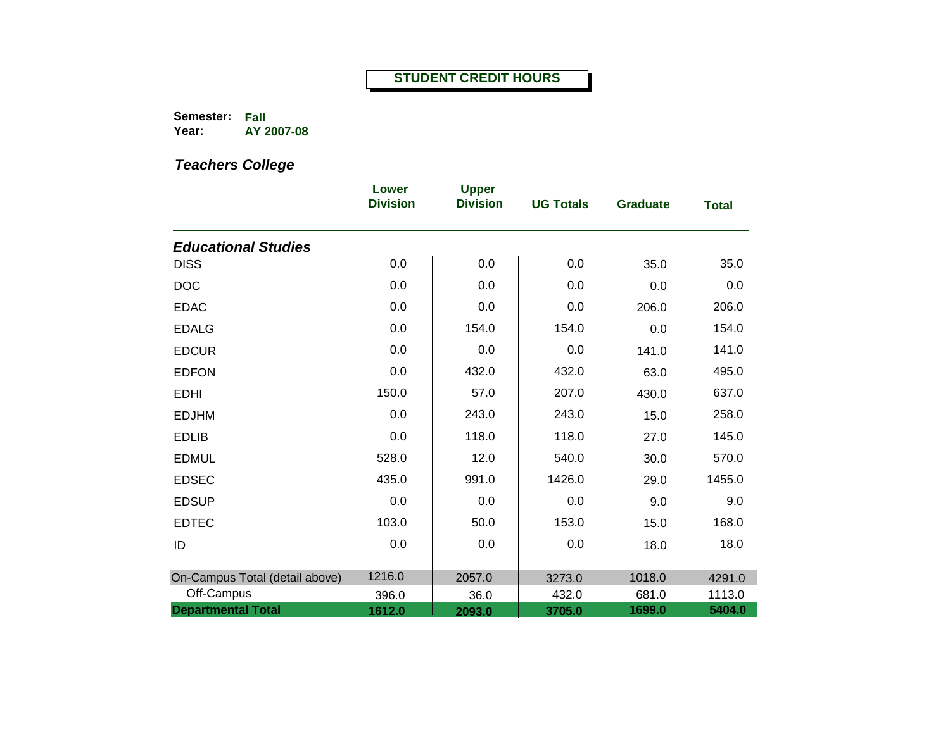**Semester: Fall Year: AY 2007-08**

|                                | Lower<br><b>Division</b> | <b>Upper</b><br><b>Division</b> | <b>UG Totals</b> | <b>Graduate</b> | <b>Total</b> |
|--------------------------------|--------------------------|---------------------------------|------------------|-----------------|--------------|
| <b>Educational Studies</b>     |                          |                                 |                  |                 |              |
| <b>DISS</b>                    | 0.0                      | 0.0                             | 0.0              | 35.0            | 35.0         |
| <b>DOC</b>                     | 0.0                      | 0.0                             | 0.0              | 0.0             | 0.0          |
| <b>EDAC</b>                    | 0.0                      | 0.0                             | 0.0              | 206.0           | 206.0        |
| <b>EDALG</b>                   | 0.0                      | 154.0                           | 154.0            | 0.0             | 154.0        |
| <b>EDCUR</b>                   | 0.0                      | 0.0                             | 0.0              | 141.0           | 141.0        |
| <b>EDFON</b>                   | 0.0                      | 432.0                           | 432.0            | 63.0            | 495.0        |
| <b>EDHI</b>                    | 150.0                    | 57.0                            | 207.0            | 430.0           | 637.0        |
| <b>EDJHM</b>                   | 0.0                      | 243.0                           | 243.0            | 15.0            | 258.0        |
| <b>EDLIB</b>                   | 0.0                      | 118.0                           | 118.0            | 27.0            | 145.0        |
| <b>EDMUL</b>                   | 528.0                    | 12.0                            | 540.0            | 30.0            | 570.0        |
| <b>EDSEC</b>                   | 435.0                    | 991.0                           | 1426.0           | 29.0            | 1455.0       |
| <b>EDSUP</b>                   | 0.0                      | 0.0                             | 0.0              | 9.0             | 9.0          |
| <b>EDTEC</b>                   | 103.0                    | 50.0                            | 153.0            | 15.0            | 168.0        |
| ID                             | 0.0                      | 0.0                             | 0.0              | 18.0            | 18.0         |
| On-Campus Total (detail above) | 1216.0                   | 2057.0                          | 3273.0           | 1018.0          | 4291.0       |
| Off-Campus                     | 396.0                    | 36.0                            | 432.0            | 681.0           | 1113.0       |
| <b>Departmental Total</b>      | 1612.0                   | 2093.0                          | 3705.0           | 1699.0          | 5404.0       |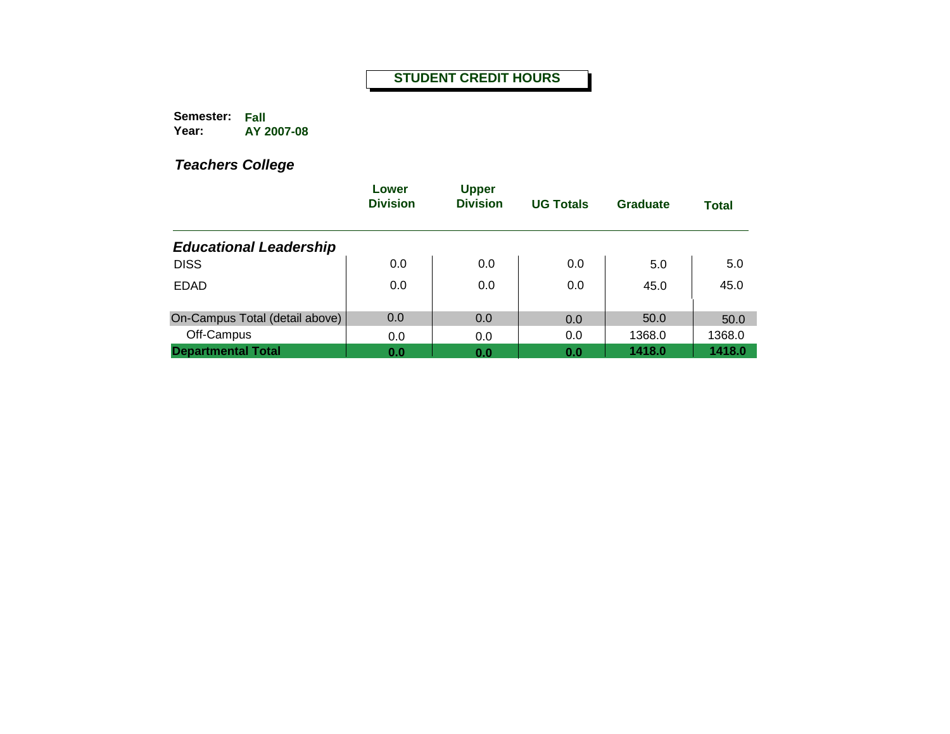**Semester: Fall Year: AY 2007-08**

|                                | Lower<br><b>Division</b> | <b>Upper</b><br><b>Division</b> | <b>UG Totals</b> | Graduate | <b>Total</b> |
|--------------------------------|--------------------------|---------------------------------|------------------|----------|--------------|
| <b>Educational Leadership</b>  |                          |                                 |                  |          |              |
| <b>DISS</b>                    | 0.0                      | 0.0                             | 0.0              | 5.0      | 5.0          |
| <b>EDAD</b>                    | 0.0                      | 0.0                             | 0.0              | 45.0     | 45.0         |
| On-Campus Total (detail above) | 0.0                      | 0.0                             | 0.0              | 50.0     | 50.0         |
| Off-Campus                     | 0.0                      | 0.0                             | 0.0              | 1368.0   | 1368.0       |
| <b>Departmental Total</b>      | 0.0                      | 0.0                             | 0.0              | 1418.0   | 1418.0       |